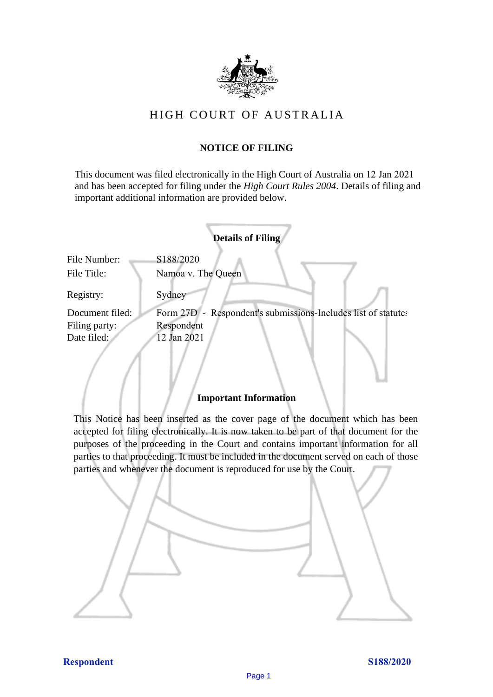

# HIGH COURT OF AU STRALIA HIGH COURT OF AUSTRALIA

## **NOTICE OF FILING** NOTICE OF FILING

This document was filed electronically in the High Court of Australia on 12 Jan 2021 This document was filed electronically in the High Court of Australia <sup>1</sup> and has been accepted for filing under the *High Court Rules 2004*. Details of filing and important additional information are provided below. important additional information are provided below.

| <b>Details of Filing</b>    |                                                               |
|-----------------------------|---------------------------------------------------------------|
| File Number:<br>File Title: | S188/2020<br>Namoa v. The Queen                               |
| Registry:                   | Sydney                                                        |
| Document filed:             | Form 27D - Respondent's submissions-Includes list of statutes |
| Filing party:               | Respondent                                                    |
| Date filed:                 | 12 Jan 2021                                                   |
|                             |                                                               |

#### **Important Information** Important Information

This Notice has been inserted as the cover page of the document which has been accepted for filing electronically. It is now taken to be part of that document for the purposes of the proceeding in the Court and contains important information for all parties to that proceeding. It must be included in the document served on each of those parties and whenever the document is reproduced for use by the Court. parties and whenever the document is reproduced for use by the Court

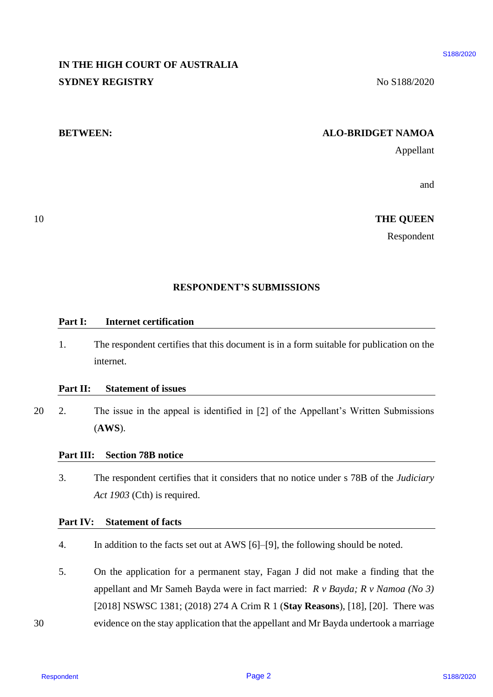# **IN THE HIGH COURT OF AUSTRALIA**  IN THE HIGH COURT OF AUSTRALIA **SYDNEY REGISTRY** No S188/2020

10

#### **BETWEEN: ALO-BRIDGET NAMOA** BETWEEN: ALO-BRIDGET NAMOA

Appellant Appellant

and and

10 **THE QUEEN** THE QUEEN

Respondent Respondent

#### **RESPONDENT'S SUBMISSIONS** RESPONDENT'S SUBMISSIONS

#### **Part I: Internet certification** Part I: Internet certification

1. The respondent certifies that this document is in a form suitable for publication on the 1. The respondent certifies that this document is in <sup>a</sup> form suitable for publication on the internet. internet.

### Part II: Statement of issues

20 2. The issue in the appeal is identified in [2] of the Appellant's Written Submissions 2. The issue in the appeal is identified in [2] of the Appellant's Written Submissions (**AWS**). (AWS). 20

### **Part III: Section 78B notice** Part III: Section 78B notice

3. The respondent certifies that it considers that no notice under s 78B of the *Judiciary*  3. The respondent certifies that it considers that no notice under <sup>s</sup> 78B of the Judiciary *Act 1903* (Cth) is required. Act 1903 (Cth) is required.

#### Part IV: Statement of facts

- 4. In addition to the facts set out at AWS [6]–[9], the following should be noted. 4. In addition to the facts set out at AWS [6]-[9], the following should be noted.
- 5. On the application for a permanent stay, Fagan J did not make a finding that the 5. On the application for a permanent stay, Fagan <sup>J</sup> did not make <sup>a</sup> finding that the appellant and Mr Sameh Bayda were in fact married: *R v Bayda; R v Namoa (No 3)*  appellant and Mr Sameh Bayda were in fact married: R v Bayda; <sup>R</sup> v Namoa (No 3) [2018] NSWSC 1381; (2018) 274 A Crim R 1 (**Stay Reasons**), [18], [20]. There was [2018] NSWSC 1381; (2018) 274 A Crim R <sup>1</sup> (Stay Reasons), [18], [20]. There was 30 evidence on the stay application that the appellant and Mr Bayda undertook a marriage evidence on the stay application that the appellant and Mr Bayda undertook a marriage **IN THE HIGH COURT OF AUSTRALIA**<br>
SYDNEN REGISTRE.<br>
SYDNEN REGISTRE.<br> **ALO-BRIDGET NAMOA**<br>
Approximation and<br> **ALO-BRIDGET NAMOA**<br>
Approximation<br> **ALO-BRIDGET NAMOA**<br>
Approximation<br> **ALO-BRIDGET NAMOA**<br>
Approximation<br> **Pa**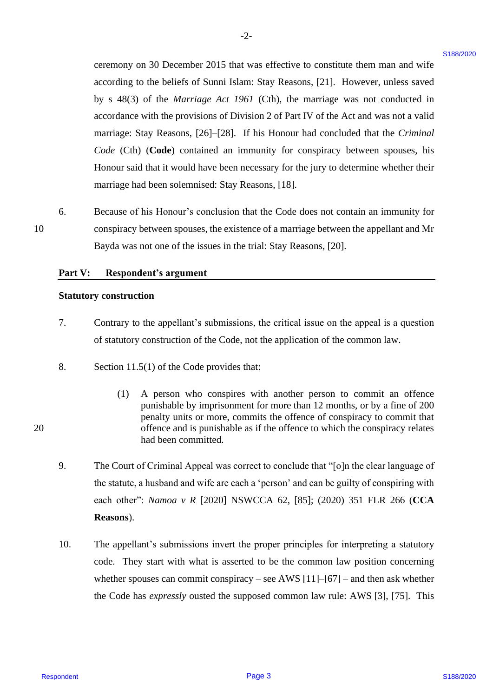ceremony on 30 December 2015 that was effective to constitute them man and wife ceremony on 30 December 2015 that was effective to constitute them man and wife according to the beliefs of Sunni Islam: Stay Reasons, [21]. However, unless saved according to the beliefs of Sunni Islam: Stay Reasons, [21]. However, unless saved by s 48(3) of the *Marriage Act 1961* (Cth), the marriage was not conducted in by <sup>s</sup> 48(3) of the Marriage Act 1961 (Cth), the marriage was not conducted in accordance with the provisions of Division 2 of Part IV of the Act and was not a valid accordance with the provisions of Division 2 of Part IV of the Act and was not <sup>a</sup> valid marriage: Stay Reasons, [26]–[28]. If his Honour had concluded that the *Criminal*  marriage: Stay Reasons, [26]-[28]. If his Honour had concluded that the Criminal Code (Cth) (Code) contained an immunity for conspiracy between spouses, his Honour said that it would have been necessary for the jury to determine whether their Honour said that it would have been necessary for the jury to determine whether their marriage had been solemnised: Stay Reasons, [18]. marriage had been solemnised: Stay Reasons, [18]. concernony on 30 December 2015 that was effective to contain them man and wife<br>
increasing the helder of Norm learn Show Henour, T211, Investor, under<br>
the space of the state of the state of the state of the state of the

-2- -2-

6. Because of his Honour's conclusion that the Code does not contain an immunity for Because of his Honour's conclusion that the Code does not contain an immunity for 10 conspiracy between spouses, the existence of a marriage between the appellant and Mr conspiracy between spouses, the existence of a marriage between the appellant and Mr Bayda was not one of the issues in the trial: Stay Reasons, [20]. Bayda was not one of the issues in the trial: Stay Reasons, [20]. 10

#### **Part V: Respondent's argument** Respondent's argument Part V:

#### **Statutory construction** Statutory construction

- 7. Contrary to the appellant's submissions, the critical issue on the appeal is a question Contrary to the appellant's submissions, the critical issue on the appeal is <sup>a</sup> question of statutory construction of the Code, not the application of the common law. of statutory construction of the Code, not the application of the common law.
- 8. Section 11.5(1) of the Code provides that: Section 11.5(1) of the Code provides that:
- (1) A person who conspires with another person to commit an offence (1) A person who conspires with another person to commit an offence punishable by imprisonment for more than 12 months, or by a fine of 200 punishable by imprisonment for more than <sup>12</sup> months, or by <sup>a</sup> fine of 200 penalty units or more, commits the offence of conspiracy to commit that penalty units or more, commits the offence of conspiracy to commit that 20 offence and is punishable as if the offence to which the conspiracy relates offence and is punishable as if the offence to which the conspiracy relates had been committed. had been committed.
	- 9. The Court of Criminal Appeal was correct to conclude that "[o]n the clear language of The Court of Criminal Appeal was correct to conclude that "[o]n the clear language of the statute, a husband and wife are each a 'person' and can be guilty of conspiring with the statute, <sup>a</sup> husband and wife are eacha 'person' and can be guilty of conspiring with each other": *Namoa v R* [2020] NSWCCA 62, [85]; (2020) 351 FLR 266 (**CCA**  each other": Namoa v R [2020] NSWCCA 62, [85]; (2020) 351 FLR 266 (CCA **Reasons**). Reasons).
	- 10. The appellant's submissions invert the proper principles for interpreting a statutory The appellant's submissions invert the proper principles for interpreting a statutory code. They start with what is asserted to be the common law position concerning whether spouses can commit conspiracy – see AWS  $[11]$ – $[67]$  – and then ask whether the Code has *expressly* ousted the supposed common law rule: AWS [3], [75]. This the Code has expressly ousted the supposed common law rule: AWS [3], [75]. This 10.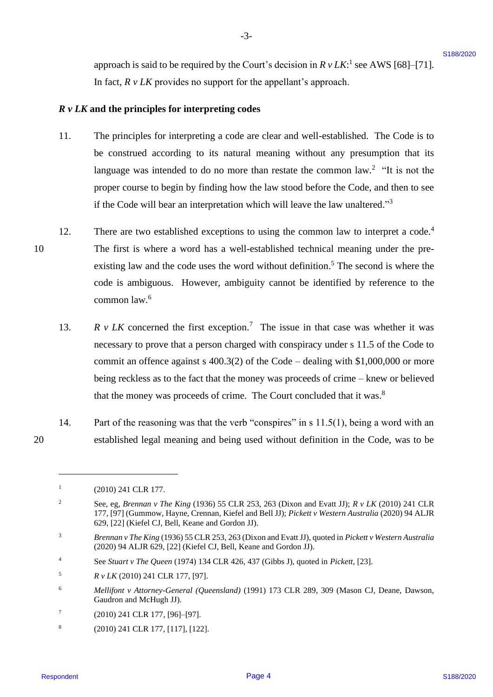approach is said to be required by the Court's decision in  $R v L K$ <sup>1</sup> see AWS [68]–[71]. In fact, *R v LK* provides no support for the appellant's approach. In fact, <sup>R</sup> v LK provides no support for the appellant's approach.

### *R v LK* **and the principles for interpreting codes** RvLK and the principles for interpreting codes

11. The principles for interpreting a code are clear and well-established. The Code is to be construed according to its natural meaning without any presumption that its be construed according to its natural meaning without any presumption that its language was intended to do no more than restate the common  $law<sup>2</sup>$  "It is not the proper course to begin by finding how the law stood before the Code, and then to see proper course to begin by finding how the law stood before the Code, and then to see if the Code will bear an interpretation which will leave the law unaltered."<sup>3</sup> 11.

-3- -3-

- 12. There are two established exceptions to using the common law to interpret a code.<sup>4</sup> 10 The first is where a word has a well-established technical meaning under the pre-The first is where <sup>a</sup> word has a well-established technical meaning under the preexisting law and the code uses the word without definition.<sup>5</sup> The second is where the code is ambiguous. However, ambiguity cannot be identified by reference to the code is ambiguous. However, ambiguity cannot be identified by reference to the common law. 6 common law.°® approach is said to be required by the Court s decision in  $R + LK$ <sup>3</sup> see AWS (68-1711.<br>
In that,  $R + LK$  particles we suppose the the appellant's approach.<br>  $R + LK$  and the principles for interpretating to the set of the ap 12. 10
	- 13.  $R \, v \, LK$  concerned the first exception.<sup>7</sup> The issue in that case was whether it was necessary to prove that a person charged with conspiracy under s 11.5 of the Code to necessary to prove that a person charged with conspiracy under <sup>s</sup> 11.5 of the Code to commit an offence against s 400.3(2) of the Code – dealing with \$1,000,000 or more commit an offence against <sup>s</sup> 400.3(2) of the Code — dealing with \$1,000,000 or more being reckless as to the fact that the money was proceeds of crime – knew or believed being reckless as to the fact that the money was proceeds of crime —knew or believed that the money was proceeds of crime. The Court concluded that it was.<sup>8</sup> 13.
- 14. Part of the reasoning was that the verb "conspires" in s 11.5(1), being a word with an Part of the reasoning was that the verb "conspires" in <sup>s</sup> 11.5(1), being a word with an 20 established legal meaning and being used without definition in the Code, was to be established legal meaning and being used without definition in the Code, was to be 14.
- 7 7 (2010) 241 CLR 177, [96]–[97]. (2010) 241 CLR 177, [96]-[97].
- 8 8 (2010) 241 CLR 177, [117], [122]. (2010) 241 CLR 177, [117], [122].

<sup>1</sup> 1 (2010) 241 CLR 177. (2010) 241 CLR 177.

<sup>&</sup>lt;sup>2</sup> See, eg, *Brennan v The King* (1936) 55 CLR 253, 263 (Dixon and Evatt JJ);  $R v LK$  (2010) 241 CLR 177, [97] (Gummow, Hayne, Crennan, Kiefel and Bell JJ); *Pickett v Western Australia* (2020) 94 ALJR 177, [97] (Gummow, Hayne, Crennan, Kiefel and Bell JJ); Pickett v Western Australia (2020) 94 ALJR 629, [22] (Kiefel CJ, Bell, Keane and Gordon JJ). 629, [22] (Kiefel CJ, Bell, Keane and Gordon JJ). 2

<sup>3</sup> *Brennan v The King* (1936) 55 CLR 253, 263 (Dixon and Evatt JJ), quoted in *Pickett v Western Australia*  Brennan v The King (1936) 55 CLR 253, 263 (Dixon and Evatt JJ), quoted in Pickett v Western Australia (2020) 94 ALJR 629, [22] (Kiefel CJ, Bell, Keane and Gordon JJ). (2020) 94 ALJR 629, [22] (Kiefel CJ, Bell, Keane and Gordon JJ). 3

<sup>4</sup> See *Stuart v The Queen* (1974) 134 CLR 426, 437 (Gibbs J), quoted in *Pickett*, [23]. See Stuart v The Queen (1974) 134 CLR 426, 437 (Gibbs J), quoted in Pickett, [23]. 4

 $R v LK (2010) 241 CLR 177, [97].$ 5

<sup>6</sup> *Mellifont v Attorney-General (Queensland)* (1991) 173 CLR 289, 309 (Mason CJ, Deane, Dawson, Mellifont v Attorney-General (Queensland) (1991) 173 CLR 289, 309 (Mason CJ, Deane, Dawson, Gaudron and McHugh JJ). Gaudron and McHugh JJ). 6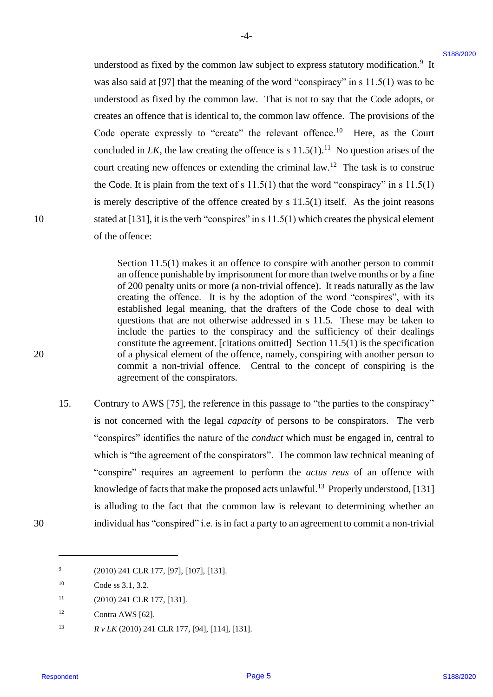understood as fixed by the common law subject to express statutory modification.<sup>9</sup> It was also said at [97] that the meaning of the word "conspiracy" in  $s$  11.5(1) was to be understood as fixed by the common law. That is not to say that the Code adopts, or understood as fixed by the common law. That is not to say that the Code adopts, or creates an offence that is identical to, the common law offence. The provisions of the creates an offence that is identical to, the common law offence. The provisions of the Code operate expressly to "create" the relevant offence.<sup>10</sup> Here, as the Court concluded in LK, the law creating the offence is s  $11.5(1)$ .<sup>11</sup> No question arises of the court creating new offences or extending the criminal  $law$ <sup>12</sup>. The task is to construe the Code. It is plain from the text of s  $11.5(1)$  that the word "conspiracy" in s  $11.5(1)$ is merely descriptive of the offence created by s 11.5(1) itself. As the joint reasons is merely descriptive of the offence created by <sup>s</sup> 11.5(1) itself. As the joint reasons 10 stated at [131], it is the verb "conspires" in s 11.5(1) which creates the physical element of the offence: of the offence: understood as fixed by the common law subject to express statutory modification.<sup>3</sup> R<br>was also wide if 971 had the researching of the worst "are respondent" in CIA (1) was the state of the form of the common law. That is

-4- -4-

Section 11.5(1) makes it an offence to conspire with another person to commit Section 11.5(1) makes it an offence to conspire with another person to commit an offence punishable by imprisonment for more than twelve months or by a fine an offence punishable by imprisonment for more than twelve months or by <sup>a</sup> fine of 200 penalty units or more (a non-trivial offence). It reads naturally as the law of 200 penalty units or more (a non-trivial offence). It reads naturally as the law creating the offence. It is by the adoption of the word "conspires", with its creating the offence. It is by the adoption of the word "conspires", with its established legal meaning, that the drafters of the Code chose to deal with questions that are not otherwise addressed in s 11.5. These may be taken to questions that are not otherwise addressed in <sup>s</sup> 11.5. These may be taken to include the parties to the conspiracy and the sufficiency of their dealings include the parties to the conspiracy and the sufficiency of their dealings constitute the agreement. [citations omitted] Section  $11.5(1)$  is the specification 20 of a physical element of the offence, namely, conspiring with another person to of a physical element of the offence, namely, conspiring with another person to commit a non-trivial offence. Central to the concept of conspiring is the commit <sup>a</sup> non-trivial offence. Central to the concept of conspiring is the agreement of the conspirators. agreement of the conspirators.

15. Contrary to AWS [75], the reference in this passage to "the parties to the conspiracy" Contrary to AWS [75], the reference in this passage to "the parties to the conspiracy" is not concerned with the legal *capacity* of persons to be conspirators. The verb is not concerned with the legal capacity of persons to be conspirators. The verb "conspires" identifies the nature of the *conduct* which must be engaged in, central to "conspires" identifies the nature of the conduct which must be engaged in, central to which is "the agreement of the conspirators". The common law technical meaning of "conspire" requires an agreement to perform the *actus reus* of an offence with "conspire" requires an agreement to perform the actus reus of an offence with knowledge of facts that make the proposed acts unlawful.<sup>13</sup> Properly understood, [131] is alluding to the fact that the common law is relevant to determining whether an is alluding to the fact that the common law is relevant to determining whether an 30 individual has "conspired" i.e. is in fact a party to an agreement to commit a non-trivial individual has "conspired" i.e. is in fact a party to an agreement to commit <sup>a</sup> non-trivial 15.

30

<sup>9</sup> (2010) 241 CLR 177, [97], [107], [131]. (2010) 241 CLR 177, [97], [107], [131].

<sup>10</sup> Code ss 3.1, 3.2. Code ss 3.1, 3.2.

 $11$  (2010) 241 CLR 177, [131].

 $^{12}$  Contra AWS [62].

<sup>13</sup> **R** v LK (2010) 241 CLR 177, [94], [114], [131].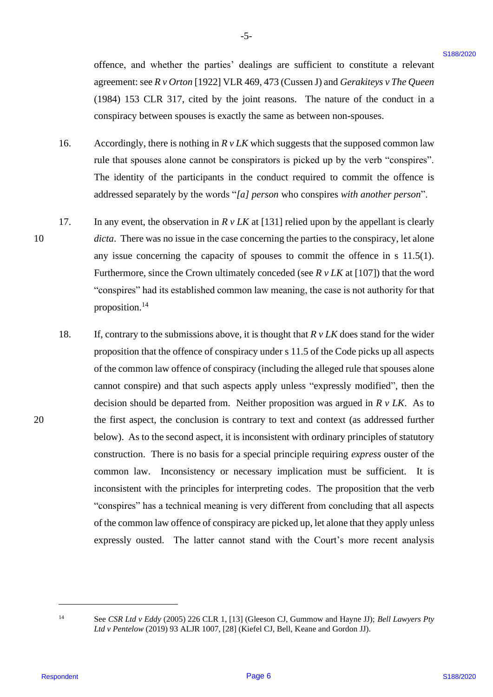offence, and whether the parties' dealings are sufficient to constitute a relevant agreement: see *R v Orton* [1922] VLR 469, 473 (Cussen J) and *Gerakiteys v The Queen*  agreement: see R v Orton [1922] VLR 469, 473 (Cussen J) and Gerakiteys v The Queen (1984) 153 CLR 317, cited by the joint reasons. The nature of the conduct in a (1984) 153 CLR 317, cited by the joint reasons. The nature of the conduct in <sup>a</sup> conspiracy between spouses is exactly the same as between non-spouses. conspiracy between spouses is exactly the same as between non-spouses.

16. Accordingly, there is nothing in  $R v LK$  which suggests that the supposed common law rule that spouses alone cannot be conspirators is picked up by the verb "conspires". The identity of the participants in the conduct required to commit the offence is The identity of the participants in the conduct required to commit the offence is addressed separately by the words "*[a] person* who conspires *with another person*". addressed separately by the words "/a/] person who conspires with another person'. 16.

-5- -5-

- 17. In any event, the observation in  $R v LK$  at [131] relied upon by the appellant is clearly 10 *dicta*. There was no issue in the case concerning the parties to the conspiracy, let alone any issue concerning the capacity of spouses to commit the offence in s 11.5(1). any issue concerning the capacity of spouses to commit the offence in <sup>s</sup> 11.5(1). Furthermore, since the Crown ultimately conceded (see *R v LK* at [107]) that the word Furthermore, since the Crown ultimately conceded (see R v LK at [107]) that the word "conspires" had its established common law meaning, the case is not authority for that "conspires" had its established common law meaning, the case is not authority for that proposition.<sup>14</sup> 17.
- 18. If, contrary to the submissions above, it is thought that  $R v LK$  does stand for the wider proposition that the offence of conspiracy under s 11.5 of the Code picks up all aspects proposition that the offence of conspiracy under <sup>s</sup> 11.5 of the Code picks up all aspects of the common law offence of conspiracy (including the alleged rule that spouses alone of the common law offence of conspiracy (including the alleged rule that spouses alone cannot conspire) and that such aspects apply unless "expressly modified", then the cannot conspire) and that such aspects apply unless "expressly modified", then the decision should be departed from. Neither proposition was argued in *R v LK*. As to decision should be departed from. Neither proposition was argued in R v LK. As to 20 the first aspect, the conclusion is contrary to text and context (as addressed further the first aspect, the conclusion is contrary to text and context (as addressed further below). As to the second aspect, it is inconsistent with ordinary principles of statutory below). As to the second aspect, it is inconsistent with ordinary principles of statutory construction. There is no basis for a special principle requiring *express* ouster of the construction. There is no basis for <sup>a</sup> special principle requiring express ouster of the common law. Inconsistency or necessary implication must be sufficient. It is common law. Inconsistency or necessary implication must be sufficient. It is inconsistent with the principles for interpreting codes. The proposition that the verb inconsistent with the principles for interpreting codes. The proposition that the verb "conspires" has a technical meaning is very different from concluding that all aspects "conspires" has <sup>a</sup> technical meaning is very different from concluding that all aspects of the common law offence of conspiracy are picked up, let alone that they apply unless of the common law offence of conspiracy are picked up, let alone that they apply unless expressly ousted. The latter cannot stand with the Court's more recent analysis expressly ousted. The latter cannot stand with the Court's more recent analysis offence, and whether the parties" dealings are sufficient to constitute a colorinate approach in previously 10221 (Wewen 1) and 6.273 (Cover all the conduct in a comparison) that  $(1995)$  1.32 CLR 317, clied by the joint 18.

Respondent

10

<sup>14</sup> See *CSR Ltd v Eddy* (2005) 226 CLR 1, [13] (Gleeson CJ, Gummow and Hayne JJ); *Bell Lawyers Pty*  See CSR Ltd v Eddy (2005) 226 CLR 1, [13] (Gleeson CJ, Gummow and Hayne JJ); Bell Lawyers Pty *Ltd v Pentelow* (2019) 93 ALJR 1007, [28] (Kiefel CJ, Bell, Keane and Gordon JJ). Ltd v Pentelow (2019) 93 ALJR 1007, [28] (Kiefel CJ, Bell, Keane and Gordon JJ).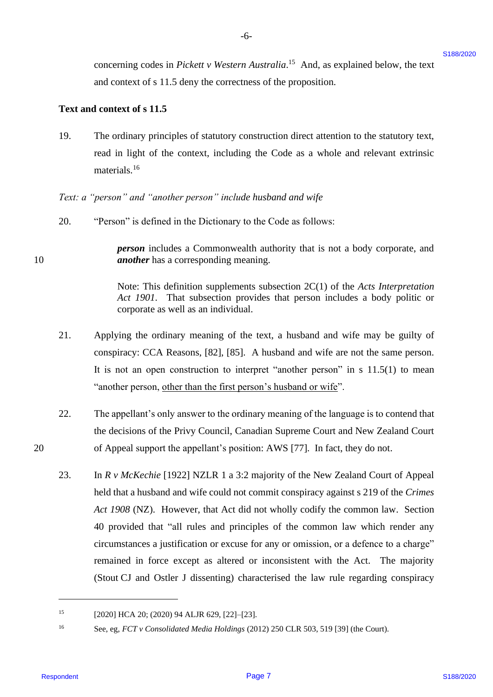concerning codes in *Pickett v Western Australia*.<sup>15</sup> And, as explained below, the text and context of s 11.5 deny the correctness of the proposition. and context of <sup>s</sup> 11.5 deny the correctness of the proposition.

#### **Text and context of s 11.5** Text and context of <sup>s</sup> 11.5

10

20

19. The ordinary principles of statutory construction direct attention to the statutory text, 19. The ordinary principles of statutory construction direct attention to the statutory text, read in light of the context, including the Code as a whole and relevant extrinsic materials.<sup>16</sup>

-6- -6-

*Text: a "person" and "another person" include husband and wife* Text: a "person" and "another person" include husband and wife

20. "Person" is defined in the Dictionary to the Code as follows: "Person" is defined in the Dictionary to the Code as follows: 20.

*person* includes a Commonwealth authority that is not a body corporate, and person includes a Commonwealth authority that is not <sup>a</sup> body corporate, and 10 *another* has a corresponding meaning. another has <sup>a</sup> corresponding meaning.

> Note: This definition supplements subsection 2C(1) of the *Acts Interpretation*  Note: This definition supplements subsection 2C(1) of the Acts Interpretation *Act 1901*. That subsection provides that person includes a body politic or Act 1901. That subsection provides that person includes a body politic or corporate as well as an individual. corporate as well as an individual.

- 21. Applying the ordinary meaning of the text, a husband and wife may be guilty of Applying the ordinary meaning of the text, <sup>a</sup> husband and wife may be guilty of conspiracy: CCA Reasons, [82], [85]. A husband and wife are not the same person. conspiracy: CCA Reasons, [82], [85]. A husband and wife are not the same person. It is not an open construction to interpret "another person" in  $s$  11.5(1) to mean "another person, other than the first person's husband or wife". 21.
- 22. The appellant's only answer to the ordinary meaning of the language is to contend that The appellant's only answer to the ordinary meaning of the language is to contend that the decisions of the Privy Council, Canadian Supreme Court and New Zealand Court the decisions of the Privy Council, Canadian Supreme Court and New Zealand Court 20 of Appeal support the appellant's position: AWS [77]. In fact, they do not. of Appeal support the appellant's position: AWS [77]. In fact, they do not. 22.
- 23. In *R v McKechie* [1922] NZLR 1 a 3:2 majority of the New Zealand Court of Appeal In <sup>R</sup> v McKechie [1922] NZLR <sup>1</sup> <sup>a</sup> 3:2 majority of the New Zealand Court of Appeal held that a husband and wife could not commit conspiracy against s 219 of the *Crimes*  held that <sup>a</sup> husband and wife could not commit conspiracy against <sup>s</sup> 219 of the Crimes *Act 1908* (NZ). However, that Act did not wholly codify the common law. Section Act 1908 (NZ). However, that Act did not wholly codify the common law. Section 40 provided that "all rules and principles of the common law which render any 40 provided that "all rules and principles of the common law which render any circumstances a justification or excuse for any or omission, or a defence to a charge" circumstancesa justification or excuse for any or omission, or <sup>a</sup> defence to <sup>a</sup> charge" remained in force except as altered or inconsistent with the Act. The majority remained in force except as altered or inconsistent with the Act. The majority (Stout CJ and Ostler J dissenting) characterised the law rule regarding conspiracy (Stout CJ and Ostler J dissenting) characterised the law rule regarding conspiracy concerning codes in Picketter Western Australian." And, as explained below, the lext<br>numerous of  $\times$  11.5 stery the correctness of the proposition.<br>Then and contents of s11.5 stery the correctness of the proposition.<br>The 23.

<sup>15</sup> [2020] HCA 20; (2020) 94 ALJR 629, [22]–[23]. [2020] HCA 20; (2020) 94 ALJR 629, [22]-[23]. 15

<sup>16</sup> See, eg, *FCT v Consolidated Media Holdings* (2012) 250 CLR 503, 519 [39] (the Court). See, eg, FCTv Consolidated Media Holdings (2012) <sup>250</sup> CLR 503, <sup>519</sup> [39] (the Court). 16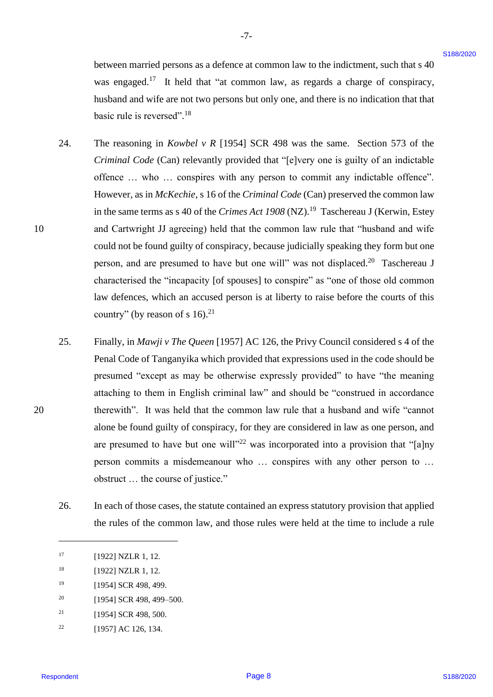between married persons as a defence at common law to the indictment, such that s 40 between married persons as a defence at common law to the indictment, such that <sup>s</sup> 40 was engaged.<sup>17</sup> It held that "at common law, as regards a charge of conspiracy, husband and wife are not two persons but only one, and there is no indication that that husband and wife are not two persons but only one, and there is no indication that that basic rule is reversed". 18 basic rule is reversed".!®

-7- -7-

- 24. The reasoning in *Kowbel v R* [1954] SCR 498 was the same. Section 573 of the *Criminal Code* (Can) relevantly provided that "[e]very one is guilty of an indictable Criminal Code (Can) relevantly provided that "[e]very one is guilty of an indictable offence ... who ... conspires with any person to commit any indictable offence". However, as in *McKechie*, s 16 of the *Criminal Code* (Can) preserved the common law However, as in McKechie, <sup>s</sup> 16 of the Criminal Code (Can) preserved the common law in the same terms as s 40 of the *Crimes Act 1908* (NZ).<sup>19</sup> Taschereau J (Kerwin, Estey 10 and Cartwright JJ agreeing) held that the common law rule that "husband and wife and Cartwright JJ agreeing) held that the common law rule that "husband and wife could not be found guilty of conspiracy, because judicially speaking they form but one could not be found guilty of conspiracy, becausejudicially speaking they form but one person, and are presumed to have but one will" was not displaced.<sup>20</sup> Taschereau J characterised the "incapacity [of spouses] to conspire" as "one of those old common characterised the "incapacity [of spouses] to conspire" as "one of those old common law defences, which an accused person is at liberty to raise before the courts of this law defences, which an accused person is at liberty to raise before the courts of this country" (by reason of s  $16$ ).<sup>21</sup> between matricel persons as a defeace at common law to the indicament, such that s 90<br>we see popper.<sup>17</sup> in but I at "at converse live, as regular a study of extendings,<br>the included and wife are not two persons between l 24.
- 25. Finally, in *Mawji v The Queen* [1957] AC 126, the Privy Council considered s 4 of the Finally, in Mawji v The Queen [1957] AC 126, the Privy Council considered <sup>s</sup> 4 of the Penal Code of Tanganyika which provided that expressions used in the code should be Penal Code of Tanganyika which provided that expressions used in the code should be presumed "except as may be otherwise expressly provided" to have "the meaning presumed "except as may be otherwise expressly provided" to have "the meaning attaching to them in English criminal law" and should be "construed in accordance attaching to them in English criminal law" and should be "construed in accordance 20 therewith". It was held that the common law rule that a husband and wife "cannot therewith". It was held that the common law rule that a husband and wife "cannot alone be found guilty of conspiracy, for they are considered in law as one person, and alone be found guilty of conspiracy, for they are considered in law as one person, and are presumed to have but one will"<sup>22</sup> was incorporated into a provision that "[a]ny person commits a misdemeanour who … conspires with any other person to … person commits <sup>a</sup> misdemeanour who ... conspires with any other person to ... obstruct … the course of justice." obstruct ... the course of justice." 25.
	- 26. In each of those cases, the statute contained an express statutory provision that applied In each of those cases, the statute contained an express statutory provision that applied the rules of the common law, and those rules were held at the time to include a rule the rules of the common law, and those rules were held at the time to include a rule 26.
- <sup>20</sup> [1954] SCR 498, 499–500. 20
- <sup>21</sup> [1954] SCR 498, 500. 21
- $22$  [1957] AC 126, 134. 22

<sup>17</sup> [1922] NZLR 1, 12. [1922] NZLR 1,12.

<sup>18</sup> [1922] NZLR 1, 12. [1922] NZLR 1,12.

<sup>19</sup> [1954] SCR 498, 499. [1954] SCR 498, 499.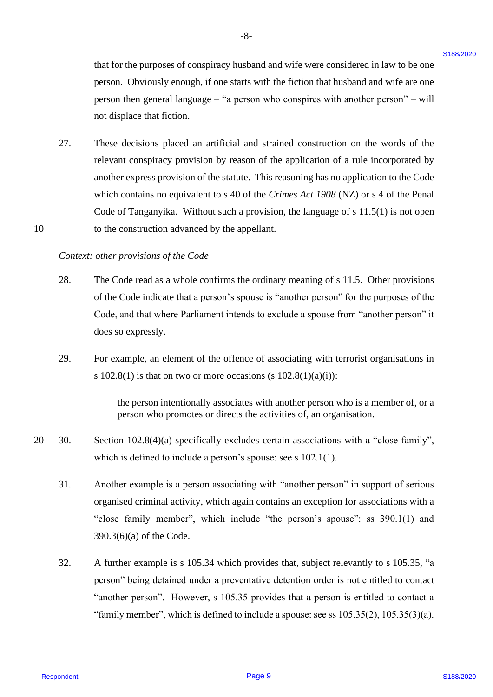that for the purposes of conspiracy husband and wife were considered in law to be one that for the purposes of conspiracy husband and wife were considered in law to be one person. Obviously enough, if one starts with the fiction that husband and wife are one person. Obviously enough, if one starts with the fiction that husband and wife are one person then general language – "a person who conspires with another person" – will person then general language — "a person who conspires with another person" —will not displace that fiction. not displace that fiction.

27. These decisions placed an artificial and strained construction on the words of the These decisions placed an artificial and strained construction on the words of the relevant conspiracy provision by reason of the application of a rule incorporated by relevant conspiracy provision by reason of the application of <sup>a</sup> rule incorporated by another express provision of the statute. This reasoning has no application to the Code another express provision of the statute. This reasoning has no application to the Code which contains no equivalent to s 40 of the *Crimes Act 1908* (NZ) or s 4 of the Penal which contains no equivalent to <sup>s</sup> 40 of the Crimes Act 1908 (NZ) or <sup>s</sup> 4 of the Penal Code of Tanganyika. Without such a provision, the language of  $s$  11.5(1) is not open 10 to the construction advanced by the appellant. to the construction advanced by the appellant. that for the papposes of compinency hoststand and wife were considered in her to be one<br>person. Cho-involve panguin, if ness and with the tried in hards and mathematic with the means of<br>person then general language  $-$  is 27.

#### *Context: other provisions of the Code* Context: other provisions of the Code

10

- 28. The Code read as a whole confirms the ordinary meaning of s 11.5. Other provisions The Code read as <sup>a</sup> whole confirms the ordinary meaning of <sup>s</sup> 11.5. Other provisions of the Code indicate that a person's spouse is "another person" for the purposes of the Code, and that where Parliament intends to exclude a spouse from "another person" it Code, and that where Parliament intends to exclude <sup>a</sup> spouse from "another person" it does so expressly. does so expressly. 28.
- 29. For example, an element of the offence of associating with terrorist organisations in For example, an element of the offence of associating with terrorist organisations in s  $102.8(1)$  is that on two or more occasions (s  $102.8(1)(a)(i)$ ): 29.

the person intentionally associates with another person who is a member of, or a the person intentionally associates with another person who is a member of, or a person who promotes or directs the activities of, an organisation. person who promotes or directs the activities of, an organisation.

- 20 30. Section 102.8(4)(a) specifically excludes certain associations with a "close family", Section 102.8(4)(a) specifically excludes certain associations with a "close family", which is defined to include a person's spouse: see s 102.1(1). which is defined to include <sup>a</sup> person's spouse: see <sup>s</sup> 102.1(1). 20  $-30.$ 
	- 31. Another example is a person associating with "another person" in support of serious Another example is <sup>a</sup> person associating with "another person" in support of serious organised criminal activity, which again contains an exception for associations with a organised criminal activity, which again contains an exception for associations with <sup>a</sup> "close family member", which include "the person's spouse": ss 390.1(1) and "close family member", which include "the person's spouse": ss 390.1(1) and 390.3(6)(a) of the Code. 390.3(6)(a) of the Code. 31.
	- 32. A further example is s 105.34 which provides that, subject relevantly to s 105.35, "a A further example is <sup>s</sup> 105.34 which provides that, subject relevantly to <sup>s</sup> 105.35, "a person" being detained under a preventative detention order is not entitled to contact person" being detained under <sup>a</sup> preventative detention order is not entitled to contact "another person". However, s 105.35 provides that a person is entitled to contact a "another person". However, <sup>s</sup> 105.35 provides that <sup>a</sup> person is entitled to contact <sup>a</sup> "family member", which is defined to include a spouse: see ss  $105.35(2)$ ,  $105.35(3)(a)$ . 32.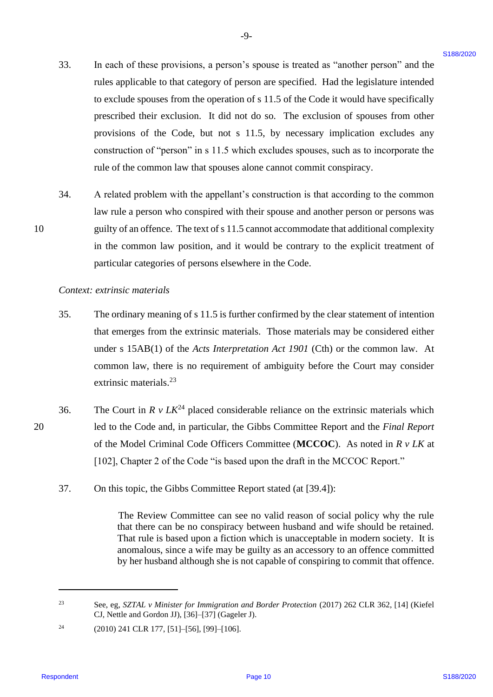33. In each of these provisions, a person's spouse is treated as "another person" and the In each of these provisions, <sup>a</sup> person's spouse is treated as "another person" and the rules applicable to that category of person are specified. Had the legislature intended to exclude spouses from the operation of s 11.5 of the Code it would have specifically to exclude spouses from the operation of <sup>s</sup> 11.5 of the Code it would have specifically prescribed their exclusion. It did not do so. The exclusion of spouses from other prescribed their exclusion. It did not do so. The exclusion of spouses from other provisions of the Code, but not s 11.5, by necessary implication excludes any provisions of the Code, but not <sup>s</sup> 11.5, by necessary implication excludes any construction of "person" in s 11.5 which excludes spouses, such as to incorporate the construction of "person" in <sup>s</sup> 11.5 which excludes spouses, such as to incorporate the rule of the common law that spouses alone cannot commit conspiracy. rule of the common law that spouses alone cannot commit conspiracy. 33. In cash of these provisions, a person's aponae is tecated as "another person" and the number of the propriate intermediate to the methods the state of the Code by the theoretical line intermediate the methods process 33.

-9- -9-

34. A related problem with the appellant's construction is that according to the common A related problem with the appellant's construction is that according to the common law rule a person who conspired with their spouse and another person or persons was 10 guilty of an offence. The text of s 11.5 cannot accommodate that additional complexity guilty of an offence. The text of's 11.5 cannot accommodate that additional complexity in the common law position, and it would be contrary to the explicit treatment of in the common law position, and it would be contrary to the explicit treatment of particular categories of persons elsewhere in the Code. particular categories of persons elsewhere in the Code. 34.

*Context: extrinsic materials* Context: extrinsic materials

10

- 35. The ordinary meaning of s 11.5 is further confirmed by the clear statement of intention The ordinary meaning of <sup>s</sup> 11.5 is further confirmed by the clear statement of intention that emerges from the extrinsic materials. Those materials may be considered either that emerges from the extrinsic materials. Those materials may be considered either under s 15AB(1) of the *Acts Interpretation Act 1901* (Cth) or the common law. At common law, there is no requirement of ambiguity before the Court may consider common law, there is no requirement of ambiguity before the Court may consider extrinsic materials.<sup>23</sup> 35.
- 36. The Court in  $R v L K^{24}$  placed considerable reliance on the extrinsic materials which 20 led to the Code and, in particular, the Gibbs Committee Report and the *Final Report*  led to the Code and, in particular, the Gibbs Committee Report and the Final Report of the Model Criminal Code Officers Committee (MCCOC). As noted in  $R \, v \, LK$  at [102], Chapter 2 of the Code "is based upon the draft in the MCCOC Report." [102], Chapter 2 of the Code "is based upon the draft in the MCCOC Report." 36. 20
	- 37. On this topic, the Gibbs Committee Report stated (at [39.4]): On this topic, the Gibbs Committee Report stated (at [39.4]): 37.

The Review Committee can see no valid reason of social policy why the rule The Review Committee can see no valid reason of social policy why the rule that there can be no conspiracy between husband and wife should be retained. that there can be no conspiracy between husband and wife should be retained. That rule is based upon a fiction which is unacceptable in modern society. It is anomalous, since a wife may be guilty as an accessory to an offence committed anomalous, since <sup>a</sup> wife may be guilty as an accessory to an offence committed by her husband although she is not capable of conspiring to commit that offence. by her husband although she is not capable of conspiring to commit that offence.

<sup>23</sup> See, eg, *SZTAL v Minister for Immigration and Border Protection* (2017) 262 CLR 362, [14] (Kiefel See, eg, SZTAL <sup>v</sup> Minister for Immigration and Border Protection (2017) <sup>262</sup> CLR 362, [14] (Kiefel CJ, Nettle and Gordon JJ), [36]–[37] (Gageler J). CJ, Nettle and Gordon JJ), [36]-[37] (Gageler J). 23

<sup>&</sup>lt;sup>24</sup> (2010) 241 CLR 177, [51]-[56], [99]-[106]. 24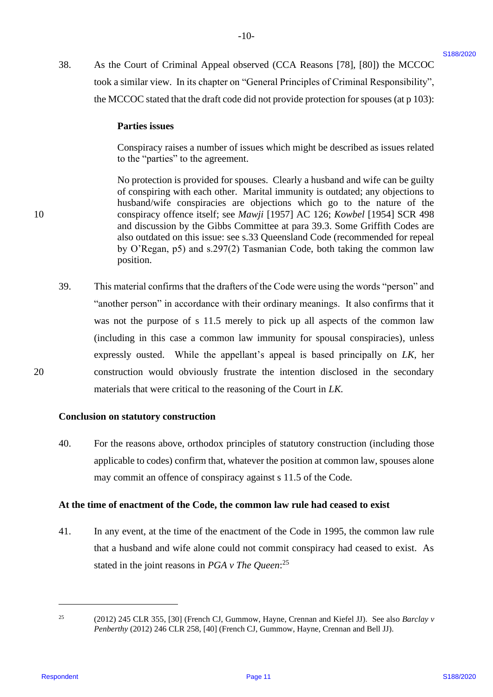38. As the Court of Criminal Appeal observed (CCA Reasons [78], [80]) the MCCOC As the Court of Criminal Appeal observed (CCA Reasons [78], [80]) the MCCOC took a similar view. In its chapter on "General Principles of Criminal Responsibility", took <sup>a</sup> similar view. In its chapter on "General Principles of Criminal Responsibility", the MCCOC stated that the draft code did not provide protection for spouses (at p 103): 38.

-10- -10-

#### **Parties issues**  Parties issues

Conspiracy raises a number of issues which might be described as issues related Conspiracy raises <sup>a</sup> number of issues which might be described as issues related to the "parties" to the agreement. to the "parties" to the agreement.

No protection is provided for spouses. Clearly a husband and wife can be guilty No protection is provided for spouses. Clearly <sup>a</sup> husband and wife can be guilty of conspiring with each other. Marital immunity is outdated; any objections to husband/wife conspiracies are objections which go to the nature of the husband/wife conspiracies are objections which go to the nature of the 10 conspiracy offence itself; see *Mawji* [1957] AC 126; *Kowbel* [1954] SCR 498 conspiracy offence itself; see Mawji [1957] AC 126; Kowbel [1954] SCR 498 and discussion by the Gibbs Committee at para 39.3. Some Griffith Codes are and discussion by the Gibbs Committee at para 39.3. Some Griffith Codes are also outdated on this issue: see s.33 Queensland Code (recommended for repeal also outdated on this issue: see s.33 Queensland Code (recommended for repeal by O'Regan, p5) and s.297(2) Tasmanian Code, both taking the common law by O'Regan, p5) and s.297(2) Tasmanian Code, both taking the common law position. position.

39. This material confirms that the drafters of the Code were using the words "person" and This material confirms that the drafters of the Code were using the words "person" and "another person" in accordance with their ordinary meanings. It also confirms that it "another person" in accordance with their ordinary meanings. It also confirms that it was not the purpose of s 11.5 merely to pick up all aspects of the common law was not the purpose of <sup>s</sup> 11.5 merely to pick up all aspects of the common law (including in this case a common law immunity for spousal conspiracies), unless (including in this case <sup>a</sup> common law immunity for spousal conspiracies), unless expressly ousted. While the appellant's appeal is based principally on *LK*, her 20 construction would obviously frustrate the intention disclosed in the secondary construction would obviously frustrate the intention disclosed in the secondary materials that were critical to the reasoning of the Court in *LK.*  materials that were critical to the reasoning of the Court in LK. S8. As the Coast of Criminal Appeal observed (CCA Response 1781, 1800) the MCCOC<br>treats a similar viewe, in such chemical error "General Premelpe (of Civilinal Response for p105):<br>the MCCOC stand that the first code is di 39.

#### **Conclusion on statutory construction** Conclusion on statutory construction

40. For the reasons above, orthodox principles of statutory construction (including those 40. For the reasons above, orthodox principles of statutory construction (including those applicable to codes) confirm that, whatever the position at common law, spouses alone applicable to codes) confirm that, whatever the position at common law, spouses alone may commit an offence of conspiracy against s 11.5 of the Code. may commit an offence of conspiracy against <sup>s</sup> 11.5 of the Code.

#### **At the time of enactment of the Code, the common law rule had ceased to exist** At the time of enactment of the Code, the common law rule had ceased to exist

41. In any event, at the time of the enactment of the Code in 1995, the common law rule 41. In any event, at the time of the enactment of the Code in 1995, the common law rule that a husband and wife alone could not commit conspiracy had ceased to exist. As that <sup>a</sup> husband and wife alone could not commit conspiracy had ceased to exist. As stated in the joint reasons in *PGA* v The Queen:<sup>25</sup>

<sup>25</sup> (2012) 245 CLR 355, [30] (French CJ, Gummow, Hayne, Crennan and Kiefel JJ). See also *Barclay v*  (2012) 245 CLR 355, [30] (French CJ, Gummow, Hayne, Crennan and Kiefel JJ). See also Barclay v *Penberthy* (2012) 246 CLR 258, [40] (French CJ, Gummow, Hayne, Crennan and Bell JJ). Penberthy (2012) 246 CLR 258, [40] (French CJ, Gummow, Hayne, Crennan and Bell JJ). 25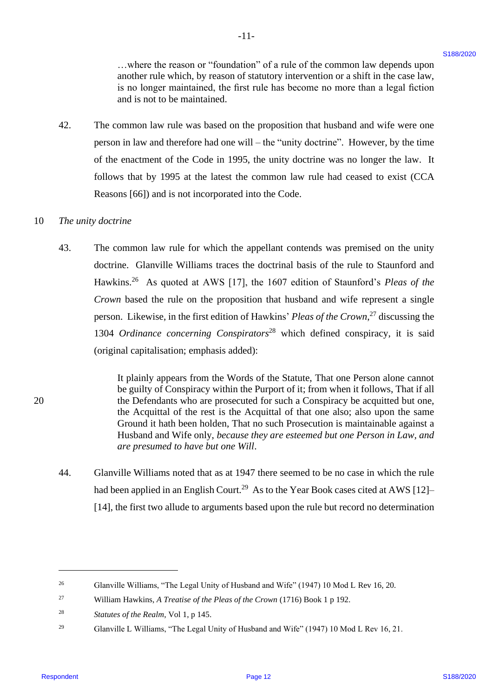...where the reason or "foundation" of a rule of the common law depends upon another rule which, by reason of statutory intervention or a shift in the case law, another rule which, by reason of statutory intervention or a shift in the case law, is no longer maintained, the first rule has become no more than a legal fiction is no longer maintained, the first rule has become no more than <sup>a</sup> legal fiction and is not to be maintained. and is not to be maintained.

42. The common law rule was based on the proposition that husband and wife were one The common law rule was based on the proposition that husband and wife were one person in law and therefore had one will – the "unity doctrine". However, by the time person in law and therefore had one will — the "unity doctrine". However, by the time of the enactment of the Code in 1995, the unity doctrine was no longer the law. It follows that by 1995 at the latest the common law rule had ceased to exist (CCA follows that by 1995 at the latest the common law rule had ceased to exist (CCA Reasons [66]) and is not incorporated into the Code. Reasons [66]) and is not incorporated into the Code. 42.

-11- -l1-

#### 10 *The unity doctrine* <sup>10</sup> = The unity doctrine

43. The common law rule for which the appellant contends was premised on the unity The common law rule for which the appellant contends was premised on the unity doctrine. Glanville Williams traces the doctrinal basis of the rule to Staunford and doctrine. Glanville Williams traces the doctrinal basis of the rule to Staunford and Hawkins.<sup>26</sup> As quoted at AWS [17], the 1607 edition of Staunford's *Pleas of the Crown* based the rule on the proposition that husband and wife represent a single Crown based the rule on the proposition that husband and wife represent <sup>a</sup> single person. Likewise, in the first edition of Hawkins' *Pleas of the Crown*<sup>27</sup> discussing the 1304 *Ordinance concerning Conspirators*<sup>28</sup> which defined conspiracy, it is said 1304 Ordinance concerning Conspirators'® which defined conspiracy, it is said (original capitalisation; emphasis added): (original capitalisation; emphasis added): 3. subcorbatte consearce "Foundation" of a rathe of the conseneal law dependent of the set dependent of the set of the set of the set of the set of the set of the set of the set of the set of the set of the set of the s 43.

It plainly appears from the Words of the Statute, That one Person alone cannot It plainly appears from the Words of the Statute, That one Person alone cannot be guilty of Conspiracy within the Purport of it; from when it follows, That if all 20 the Defendants who are prosecuted for such a Conspiracy be acquitted but one, the Defendants who are prosecuted for such <sup>a</sup> Conspiracy be acquitted but one, the Acquittal of the rest is the Acquittal of that one also; also upon the same the Acquittal of the rest is the Acquittal of that one also; also upon the same Ground it hath been holden, That no such Prosecution is maintainable against a Ground it hath been holden, That no such Prosecution is maintainable against <sup>a</sup> Husband and Wife only, *because they are esteemed but one Person in Law, and*  Husband and Wife only, because they are esteemed but one Person in Law, and *are presumed to have but one Will*. are presumed to have but one Will.

44. Glanville Williams noted that as at 1947 there seemed to be no case in which the rule Glanville Williams noted that as at 1947 there seemed to be no case in which the rule had been applied in an English Court.<sup>29</sup> As to the Year Book cases cited at AWS [12]-[14], the first two allude to arguments based upon the rule but record no determination [14], the first two allude to arguments based upon the rule but record no determination 44.

<sup>&</sup>lt;sup>26</sup> Glanville Williams, "The Legal Unity of Husband and Wife" (1947) 10 Mod L Rev 16, 20. 26

<sup>&</sup>lt;sup>27</sup> William Hawkins, *A Treatise of the Pleas of the Crown* (1716) Book 1 p 192. 27

<sup>28</sup> *Statutes of the Realm*, Vol 1, p 145. Statutes of the Realm, Vol 1, p 145. 28

<sup>&</sup>lt;sup>29</sup> Glanville L Williams, "The Legal Unity of Husband and Wife" (1947) 10 Mod L Rev 16, 21. 29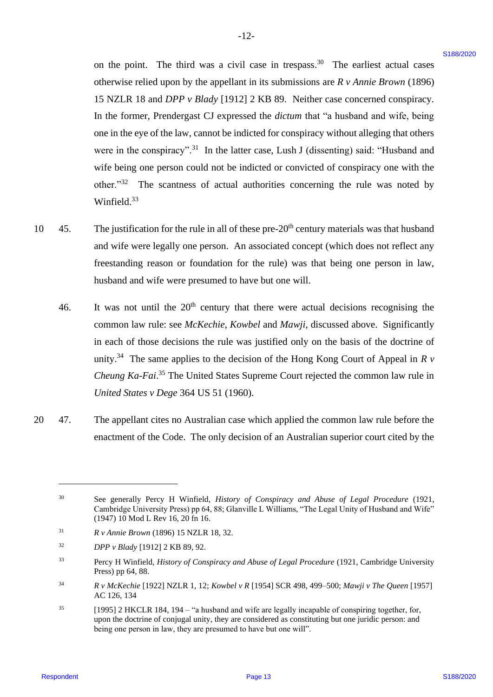on the point. The third was a civil case in trespass.<sup>30</sup> The earliest actual cases otherwise relied upon by the appellant in its submissions are *R v Annie Brown* (1896) otherwise relied upon by the appellant in its submissions are R v Annie Brown (1896) 15 NZLR 18 and *DPP v Blady* [1912] 2 KB 89. Neither case concerned conspiracy. In the former, Prendergast CJ expressed the *dictum* that "a husband and wife, being In the former, Prendergast CJ expressed the dictum that "a husband and wife, being one in the eye of the law, cannot be indicted for conspiracy without alleging that others were in the conspiracy".<sup>31</sup> In the latter case, Lush J (dissenting) said: "Husband and wife being one person could not be indicted or convicted of conspiracy one with the wife being one person could not be indicted or convicted of conspiracy one with the other." $32$  The scantness of actual authorities concerning the rule was noted by Winfield. $33$ on the point. The third was a civil case in terspons.<sup>28</sup> The earliest actual cases<br>
oftenwolve tried norm by the appellent in its substitute to solve the concerned Completey.<br>
In the former, Presentpact CI expressed in t

-12- -12-

- 10  $\pm$  45. The justification for the rule in all of these pre-20<sup>th</sup> century materials was that husband and wife were legally one person. An associated concept (which does not reflect any and wife were legally one person. An associated concept (which does not reflect any freestanding reason or foundation for the rule) was that being one person in law, freestanding reason or foundation for the rule) was that being one person in law, husband and wife were presumed to have but one will. husband and wife were presumed to have but one will. 10. 45.
	- 46. It was not until the  $20<sup>th</sup>$  century that there were actual decisions recognising the common law rule: see *McKechie*, *Kowbel* and *Mawji*, discussed above. Significantly common law rule: see McKechie, Kowbel and Mawji, discussed above. Significantly in each of those decisions the rule was justified only on the basis of the doctrine of in each of those decisions the rule was justified only on the basis of the doctrine of unity.<sup>34</sup> The same applies to the decision of the Hong Kong Court of Appeal in  $R v$ Cheung Ka-Fai.<sup>35</sup> The United States Supreme Court rejected the common law rule in *United States v Dege* 364 US 51 (1960). United States v Dege 364 US 51 (1960). 46.
- 20 47. The appellant cites no Australian case which applied the common law rule before the The appellant cites no Australian case which applied the common law rule before the enactment of the Code. The only decision of an Australian superior court cited by the enactment of the Code. The only decision of an Australian superior court cited by the 20 <sup>=</sup> 47.

<sup>30</sup> See generally Percy H Winfield, *History of Conspiracy and Abuse of Legal Procedure* (1921, See generally Percy <sup>H</sup> Winfield, History of Conspiracy and Abuse of Legal Procedure (1921, Cambridge University Press) pp 64, 88; Glanville L Williams, "The Legal Unity of Husband and Wife" (1947) 10 Mod L Rev 16, 20 fn 16. (1947) 10 Mod L Rev 16, 20 fn 16. 30

<sup>31</sup> *R v Annie Brown* (1896) 15 NZLR 18, 32. R v Annie Brown (1896) <sup>15</sup> NZLR 18, 32. 31

<sup>32</sup> *DPP v Blady* [1912] 2 KB 89, 92. DPPv Blady [1912] <sup>2</sup> KB 89, 92. 32

<sup>&</sup>lt;sup>33</sup> Percy H Winfield, *History of Conspiracy and Abuse of Legal Procedure* (1921, Cambridge University Press) pp 64, 88. Press) pp 64, 88. 33

<sup>34</sup> *R v McKechie* [1922] NZLR 1, 12; *Kowbel v R* [1954] SCR 498, 499–500; *Mawji v The Queen* [1957] Rv McKechie [1922] NZLR 1, 12; Kowbel v <sup>R</sup> [1954] SCR 498, 499-500; Mawyji v The Queen [1957] AC 126, 134 AC 126, 134 34

 $^{35}$  [1995] 2 HKCLR 184, 194 – "a husband and wife are legally incapable of conspiring together, for, upon the doctrine of conjugal unity, they are considered as constituting but one juridic person: and upon the doctrine of conjugal unity, they are considered as constituting but one juridic person: and being one person in law, they are presumed to have but one will". being one person in law, they are presumed to have but one will". 35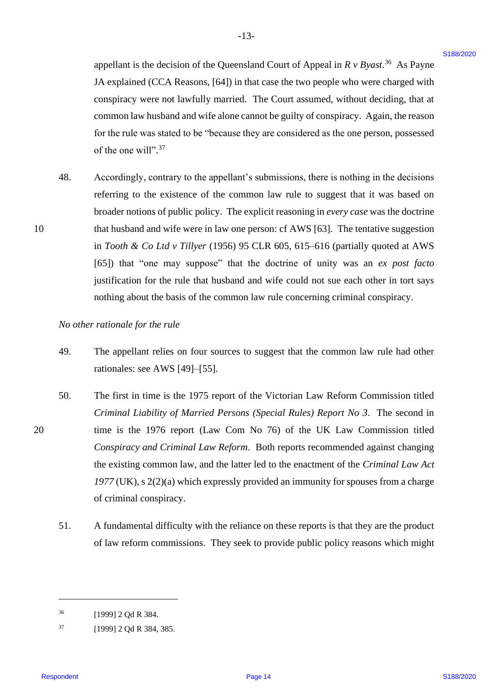-13- -13-

48. Accordingly, contrary to the appellant's submissions, there is nothing in the decisions Accordingly, contrary to the appellant's submissions, there is nothing in the decisions referring to the existence of the common law rule to suggest that it was based on broader notions of public policy. The explicit reasoning in *every case* was the doctrine broader notions of public policy. The explicit reasoning in every case was the doctrine 10 that husband and wife were in law one person: cf AWS [63]. The tentative suggestion that husband and wife were in law one person: cf AWS [63]. The tentative suggestion in *Tooth & Co Ltd v Tillyer* (1956) 95 CLR 605, 615–616 (partially quoted at AWS in Tooth & Co Ltd v Tillyer (1956) 95 CLR 605, 615-616 (partially quoted at AWS [65]) that "one may suppose" that the doctrine of unity was an *ex post facto*  [65]) that "one may suppose" that the doctrine of unity was an ex post facto justification for the rule that husband and wife could not sue each other in tort says justification for the rule that husband and wife could not sue each other in tort says nothing about the basis of the common law rule concerning criminal conspiracy. nothing about the basis of the common law rule concerning criminal conspiracy. appellant is the decision of the Queenshard Court of Appeal in  $R \times B_{\text{max}}$ ." As Paysa<br>
1A respondent (XCA Researce, [44] in the tasce in the tota perpelle who seem changed with<br>
consisting were not have been definable. T 48.

*No other rationale for the rule* No other rationale for the rule

of the one will".<sup>37</sup>

- 49. The appellant relies on four sources to suggest that the common law rule had other The appellant relies on four sources to suggest that the common law rule had other rationales: see AWS [49]–[55]. rationales: see AWS [49]-[55]. 49.
- 50. The first in time is the 1975 report of the Victorian Law Reform Commission titled The first in time is the 1975 report of the Victorian Law Reform Commission titled *Criminal Liability of Married Persons (Special Rules) Report No 3*. The second in Criminal Liability of Married Persons (Special Rules) Report No 3. The second in 20 time is the 1976 report (Law Com No 76) of the UK Law Commission titled time is the 1976 report (Law Com No 76) of the UK Law Commission titled *Conspiracy and Criminal Law Reform*. Both reports recommended against changing Conspiracy and Criminal Law Reform. Both reports recommended against changing the existing common law, and the latter led to the enactment of the *Criminal Law Act*  the existing common law, and the latter led to the enactment of the Criminal Law Act *1977* (UK), s 2(2)(a) which expressly provided an immunity for spouses from a charge 1977 (UK), <sup>s</sup> 2(2)(a) which expressly provided an immunity for spouses from <sup>a</sup> charge of criminal conspiracy. of criminal conspiracy. 50.
	- 51. A fundamental difficulty with the reliance on these reports is that they are the product A fundamental difficulty with the reliance on these reports is that they are the product of law reform commissions. They seek to provide public policy reasons which might 51.

<sup>36</sup> [1999] 2 Qd R 384. [1999] 2 Qd R 384. 36

 $^{37}$  [1999] 2 Qd R 384, 385. 37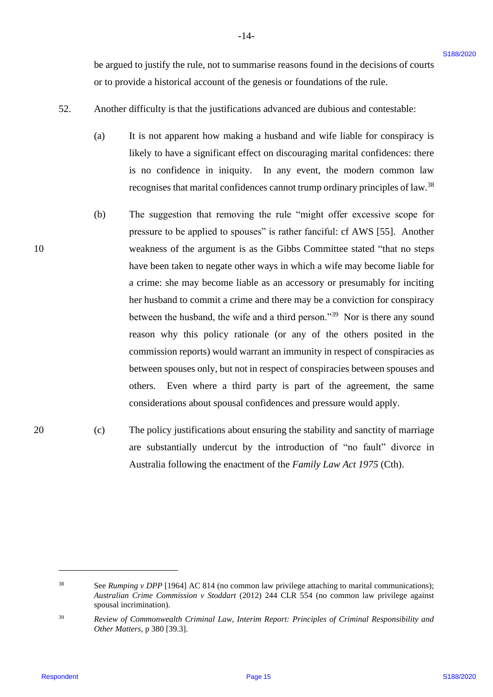be argued to justify the rule, not to summarise reasons found in the decisions of courts be argued to justify the rule, not to summarise reasons found in the decisions of courts or to provide a historical account of the genesis or foundations of the rule. or to provide a historical account of the genesis or foundations of the rule.

- 52. Another difficulty is that the justifications advanced are dubious and contestable: Another difficulty is that the justifications advanced are dubious and contestable: 52.
	- (a) It is not apparent how making a husband and wife liable for conspiracy is It is not apparent how making a husband and wife liable for conspiracy is likely to have a significant effect on discouraging marital confidences: there likely to have <sup>a</sup> significant effect on discouraging marital confidences: there is no confidence in iniquity. In any event, the modern common law is no confidence in iniquity. In any event, the modern common law recognises that marital confidences cannot trump ordinary principles of law.<sup>38</sup> (a)
- (b) The suggestion that removing the rule "might offer excessive scope for The suggestion that removing the rule "might offer excessive scope for pressure to be applied to spouses" is rather fanciful: cf AWS [55]. Another pressure to be applied to spouses" is rather fanciful: cf AWS [55]. Another 10 weakness of the argument is as the Gibbs Committee stated "that no steps weakness of the argument is as the Gibbs Committee stated "that no steps have been taken to negate other ways in which a wife may become liable for have been taken to negate other ways in which a wife may become liable for a crime: she may become liable as an accessory or presumably for inciting <sup>a</sup> crime: she may become liable as an accessory or presumably for inciting her husband to commit a crime and there may be a conviction for conspiracy her husband to commit <sup>a</sup> crime and there may be a conviction for conspiracy between the husband, the wife and a third person."<sup>39</sup> Nor is there any sound reason why this policy rationale (or any of the others posited in the commission reports) would warrant an immunity in respect of conspiracies as commission reports) would warrant an immunity in respect of conspiracies as between spouses only, but not in respect of conspiracies between spouses and between spouses only, but not in respect of conspiracies between spouses and others. Even where a third party is part of the agreement, the same others. Even where <sup>a</sup> third party is part of the agreement, the same considerations about spousal confidences and pressure would apply. considerations about spousal confidences and pressure would apply. be argued to junity the rule, not to summation reasons found in the decisions of courts<br>or to provide a bisorical accumula of the genes's or fourtheline, with earnier<br>the content of the state interest and the state of the (b)
- 20 (c) The policy justifications about ensuring the stability and sanctity of marriage The policy justifications about ensuring the stability and sanctity of marriage are substantially undercut by the introduction of "no fault" divorce in are substantially undercut by the introduction of "no fault" divorce in Australia following the enactment of the *Family Law Act 1975* (Cth). Australia following the enactment of the Family Law Act 1975 (Cth). 20 (c)

<sup>38</sup> See *Rumping v DPP* [1964] AC 814 (no common law privilege attaching to marital communications); See Rumping v DPP [1964] AC 814 (no common law privilege attaching to marital communications); *Australian Crime Commission v Stoddart* (2012) 244 CLR 554 (no common law privilege against Australian Crime Commission v Stoddart (2012) 244 CLR 554 (no common law privilege against spousal incrimination). spousal incrimination). 38

<sup>39</sup> *Review of Commonwealth Criminal Law, Interim Report: Principles of Criminal Responsibility and*  Review of Commonwealth Criminal Law, Interim Report: Principles of Criminal Responsibility and *Other Matters*, p 380 [39.3]. Other Matters, p 380 [39.3]. 39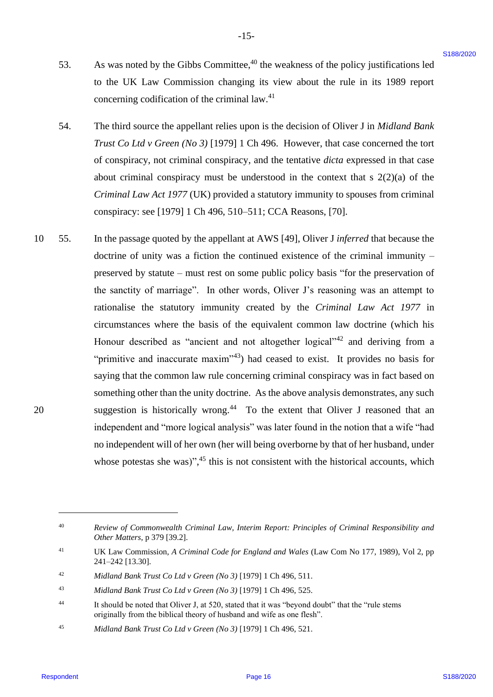53. As was noted by the Gibbs Committee,  $40$  the weakness of the policy justifications led to the UK Law Commission changing its view about the rule in its 1989 report to the UK Law Commission changing its view about the rule in its 1989 report concerning codification of the criminal law.<sup>41</sup> 53.

 $-15-$ 

- 54. The third source the appellant relies upon is the decision of Oliver J in *Midland Bank*  The third source the appellant relies upon is the decision of Oliver <sup>J</sup> in Midland Bank *Trust Co Ltd v Green* (*No 3*) [1979] 1 Ch 496. However, that case concerned the tort of conspiracy, not criminal conspiracy, and the tentative *dicta* expressed in that case about criminal conspiracy must be understood in the context that s 2(2)(a) of the about criminal conspiracy must be understood in the context that <sup>s</sup> 2(2)(a) of the *Criminal Law Act 1977* (UK) provided a statutory immunity to spouses from criminal Criminal Law Act 1977 (UK) provided <sup>a</sup> statutory immunity to spouses from criminal conspiracy: see [1979] 1 Ch 496, 510–511; CCA Reasons, [70]. conspiracy: see [1979] <sup>1</sup> Ch 496, 510-511; CCA Reasons, [70]. 54.
- 10 55. In the passage quoted by the appellant at AWS [49], Oliver J *inferred* that because the doctrine of unity was a fiction the continued existence of the criminal immunity – doctrine of unity was <sup>a</sup> fiction the continued existence of the criminal immunity preserved by statute – must rest on some public policy basis "for the preservation of preserved by statute — must rest on some public policy basis "for the preservation of the sanctity of marriage". In other words, Oliver J's reasoning was an attempt to the sanctity of marriage". In other words, Oliver J's reasoning was an attempt to rationalise the statutory immunity created by the *Criminal Law Act 1977* in rationalise the statutory immunity created by the Criminal Law Act 1977 in circumstances where the basis of the equivalent common law doctrine (which his circumstances where the basis of the equivalent common law doctrine (which his Honour described as "ancient and not altogether logical"<sup>42</sup> and deriving from a "primitive and inaccurate maxim"<sup>43</sup>) had ceased to exist. It provides no basis for saying that the common law rule concerning criminal conspiracy was in fact based on something other than the unity doctrine. As the above analysis demonstrates, any such something other than the unity doctrine. As the above analysis demonstrates, any such 20 suggestion is historically wrong.<sup>44</sup> To the extent that Oliver J reasoned that an independent and "more logical analysis" was later found in the notion that a wife "had independent and "more logical analysis" was later found in the notion that <sup>a</sup> wife "had no independent will of her own (her will being overborne by that of her husband, under no independent will of her own (her will being overborne by that of her husband, under whose potestas she was)", $45$  this is not consistent with the historical accounts, which 33. As was anoted by the Gibble Committee.<sup>24</sup> the weakness of the policy justifications let to the internet significant of the significant significant of the significant of the significant of the significant of the chang 10.55. 20

<sup>40</sup> *Review of Commonwealth Criminal Law, Interim Report: Principles of Criminal Responsibility and*  Review of Commonwealth Criminal Law, Interim Report: Principles of Criminal Responsibility and *Other Matters*, p 379 [39.2]. Other Matters, p 379 [39.2]. 40

<sup>41</sup> UK Law Commission, *A Criminal Code for England and Wales* (Law Com No 177, 1989), Vol 2, pp UK Law Commission, A Criminal Codefor England and Wales (Law Com No 177, 1989), Vol 2, pp 241–242 [13.30]. 241-242 [13.30]. 4]

<sup>42</sup> *Midland Bank Trust Co Ltd v Green (No 3)* [1979] 1 Ch 496, 511. Midland Bank Trust Co Ltd <sup>v</sup> Green (No 3) [1979] 1 Ch 496, 511. 42

<sup>43</sup> *Midland Bank Trust Co Ltd v Green (No 3)* [1979] 1 Ch 496, 525. Midland Bank Trust Co Ltd <sup>v</sup> Green (No 3) [1979] 1 Ch 496, 525. 43

<sup>44</sup> It should be noted that Oliver J, at 520, stated that it was "beyond doubt" that the "rule stems It should be noted that Oliver J, at 520, stated that it was "beyond doubt" that the "rule stems originally from the biblical theory of husband and wife as one flesh". originally from the biblical theory of husband and wife as one flesh". 44

<sup>45</sup> *Midland Bank Trust Co Ltd v Green (No 3)* [1979] 1 Ch 496, 521. Midland Bank Trust Co Ltd v Green (No 3) [1979] 1 Ch 496, 521. 45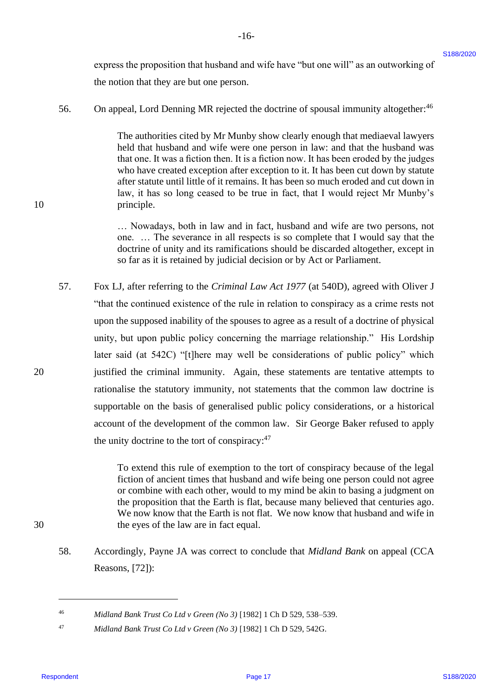express the proposition that husband and wife have "but one will" as an outworking of express the proposition that husband and wife have "but one will" as an outworking of the notion that they are but one person. the notion that they are but one person.

56. On appeal, Lord Denning MR rejected the doctrine of spousal immunity altogether:<sup>46</sup> 56.

-16- -16-

The authorities cited by Mr Munby show clearly enough that mediaeval lawyers The authorities cited by Mr Munby show clearly enough that mediaeval lawyers held that husband and wife were one person in law: and that the husband was held that husband and wife were one person in law: and that the husband was that one. It was a fiction then. It is a fiction now. It has been eroded by the judges who have created exception after exception to it. It has been cut down by statute who have created exception after exception to it. It has been cut down by statute after statute until little of it remains. It has been so much eroded and cut down in after statute until little of it remains. It has been so much eroded and cut down in law, it has so long ceased to be true in fact, that I would reject Mr Munby's law, it has so long ceased to be true in fact, that <sup>I</sup> would reject Mr Munby's 10 principle. principle.

> … Nowadays, both in law and in fact, husband and wife are two persons, not ... Nowadays, both in law and in fact, husband and wife are two persons, not one. ... The severance in all respects is so complete that I would say that the doctrine of unity and its ramifications should be discarded altogether, except in doctrine of unity and its ramifications should be discarded altogether, except in so far as it is retained by judicial decision or by Act or Parliament. so far as it is retained by judicial decision or by Act or Parliament.

57. Fox LJ, after referring to the *Criminal Law Act 1977* (at 540D), agreed with Oliver J Fox LJ, after referring to the Criminal Law Act 1977 (at 540D), agreed with Oliver <sup>J</sup> "that the continued existence of the rule in relation to conspiracy as a crime rests not "that the continued existence of the rule in relation to conspiracy as <sup>a</sup> crime rests not upon the supposed inability of the spouses to agree as a result of a doctrine of physical unity, but upon public policy concerning the marriage relationship." His Lordship unity, but upon public policy concerning the marriage relationship." His Lordship later said (at 542C) "[t]here may well be considerations of public policy" which later said (at 542C) "[t]here may well be considerations of public policy" which 20 justified the criminal immunity. Again, these statements are tentative attempts to justified the criminal immunity. Again, these statements are tentative attempts to rationalise the statutory immunity, not statements that the common law doctrine is supportable on the basis of generalised public policy considerations, or a historical supportable on the basis of generalised public policy considerations, or <sup>a</sup> historical account of the development of the common law. Sir George Baker refused to apply account of the development of the common law. Sir George Baker refused to apply the unity doctrine to the tort of conspiracy: $47$ exponse the proposition that landstand and with leave "but one will" as an extremising of  $\theta$  stars the metric in language the stars in the stars of the stars of the stars of the stars of the stars of the stars of the st 57.

To extend this rule of exemption to the tort of conspiracy because of the legal To extend this rule of exemption to the tort of conspiracy because of the legal fiction of ancient times that husband and wife being one person could not agree fiction of ancient times that husband and wife being one person could not agree or combine with each other, would to my mind be akin to basing a judgment on the proposition that the Earth is flat, because many believed that centuries ago. the proposition that the Earth is flat, because many believed that centuries ago. We now know that the Earth is not flat. We now know that husband and wife in We now know that the Earth is not flat. We now know that husband and wife in 30 the eyes of the law are in fact equal. the eyes of the law are in fact equal.

58. Accordingly, Payne JA was correct to conclude that *Midland Bank* on appeal (CCA Accordingly, Payne JA was correct to conclude that Midland Bank on appeal (CCA Reasons, [72]): Reasons, [72]): 58.

<sup>46</sup> *Midland Bank Trust Co Ltd v Green (No 3)* [1982] 1 Ch D 529, 538–539. Midland Bank Trust Co Ltd v Green (No 3) [1982] 1 Ch D 529, 538-539. 46

<sup>47</sup> *Midland Bank Trust Co Ltd v Green (No 3)* [1982] 1 Ch D 529, 542G. Midland Bank Trust Co Ltd v Green (No 3) [1982] 1 Ch D 529, 542G. 47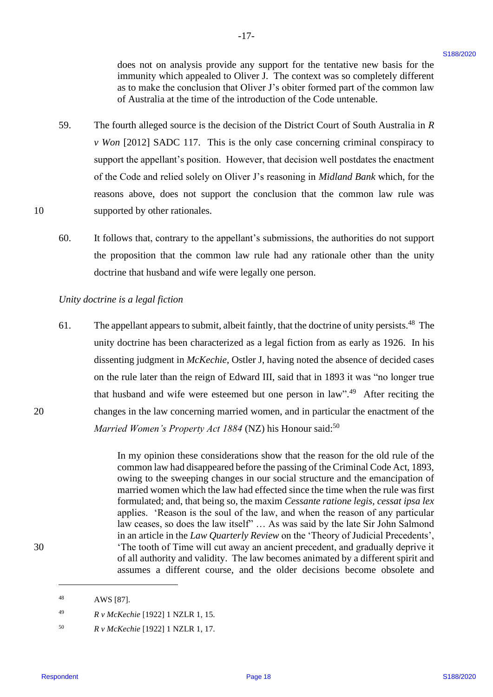does not on analysis provide any support for the tentative new basis for the does not on analysis provide any support for the tentative new basis for the immunity which appealed to Oliver J. The context was so completely different immunity which appealed to Oliver J. The context was so completely different as to make the conclusion that Oliver J's obiter formed part of the common law as to make the conclusion that Oliver J's obiter formed part of the common law of Australia at the time of the introduction of the Code untenable. of Australia at the time of the introduction of the Code untenable.

59. The fourth alleged source is the decision of the District Court of South Australia in *R*  The fourth alleged source is the decision of the District Court of South Australia in R *v Won* [2012] SADC 117. This is the only case concerning criminal conspiracy to support the appellant's position. However, that decision well postdates the enactment support the appellant's position. However, that decision well postdates the enactment of the Code and relied solely on Oliver J's reasoning in *Midland Bank* which, for the reasons above, does not support the conclusion that the common law rule was 10 supported by other rationales. supported by other rationales. 59.

 $-17-$ 

60. It follows that, contrary to the appellant's submissions, the authorities do not support It follows that, contrary to the appellant's submissions, the authorities do not support the proposition that the common law rule had any rationale other than the unity the proposition that the common law rule had any rationale other than the unity doctrine that husband and wife were legally one person. doctrine that husband and wife were legally one person. 60.

#### *Unity doctrine is a legal fiction* Unity doctrine is a legal fiction

10

20

30

61. The appellant appears to submit, albeit faintly, that the doctrine of unity persists.<sup>48</sup> The unity doctrine has been characterized as a legal fiction from as early as 1926. In his unity doctrine has been characterized as <sup>a</sup> legal fiction from as early as 1926. In his dissenting judgment in McKechie, Ostler J, having noted the absence of decided cases on the rule later than the reign of Edward III, said that in 1893 it was "no longer true on the rule later than the reign of Edward III, said that in 1893 it was "no longer true that husband and wife were esteemed but one person in law".<sup>49</sup> After reciting the 20 changes in the law concerning married women, and in particular the enactment of the changes in the law concerning married women, and in particular the enactment of the Married Women's Property Act 1884 (NZ) his Honour said:<sup>50</sup> does not on a sandy-in to project for the beatter as project for the contribution general control and the control and the same of the same of the same of the same of the same of the same of the same of the same of the sam 61.

In my opinion these considerations show that the reason for the old rule of the In my opinion these considerations show that the reason for the old rule of the common law had disappeared before the passing of the Criminal Code Act, 1893, common law had disappeared before the passing of the Criminal Code Act, 1893, owing to the sweeping changes in our social structure and the emancipation of married women which the law had effected since the time when the rule was first married women which the law had effected since the time when the rule was first formulated; and, that being so, the maxim *Cessante ratione legis, cessat ipsa lex*  formulated; and, that being so, the maxim Cessante ratione legis, cessat ipsa lex applies. 'Reason is the soul of the law, and when the reason of any particular applies. 'Reason is the soul of the law, and when the reason of any particular law ceases, so does the law itself" … As was said by the late Sir John Salmond law ceases, so does the law itself" ... As was said by the late Sir John Salmond in an article in the *Law Quarterly Review* on the 'Theory of Judicial Precedents', 30 'The tooth of Time will cut away an ancient precedent, and gradually deprive it 'The tooth of Time will cut away an ancient precedent, and gradually deprive it of all authority and validity. The law becomes animated by a different spirit and assumes a different course, and the older decisions become obsolete and assumes a different course, and the older decisions become obsolete and

<sup>48</sup> AWS [87]. AWS [87]. 48

<sup>49</sup> *R v McKechie* [1922] 1 NZLR 1, 15. <sup>R</sup> v McKechie [1922] 1 NZLR 1, 15. 49

<sup>50</sup> *R v McKechie* [1922] 1 NZLR 1, 17. <sup>R</sup> v McKechie [1922] 1 NZLR 1, 17. 50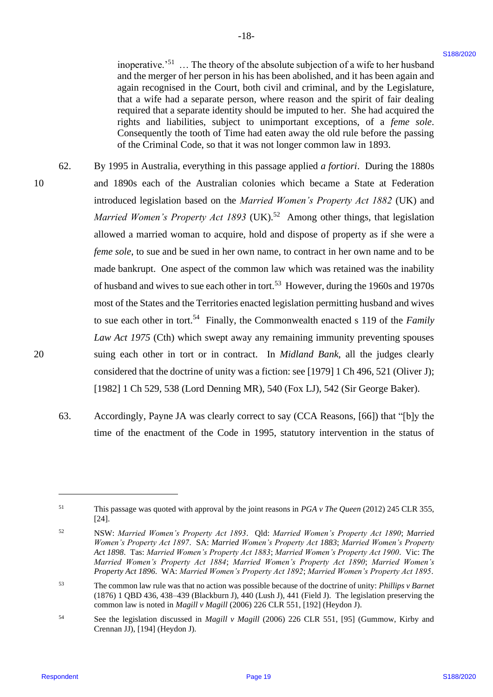inoperative.<sup>'51</sup> ... The theory of the absolute subjection of a wife to her husband and the merger of her person in his has been abolished, and it has been again and again recognised in the Court, both civil and criminal, and by the Legislature, again recognised in the Court, both civil and criminal, and by the Legislature, that a wife had a separate person, where reason and the spirit of fair dealing that a wife had <sup>a</sup> separate person, where reason and the spirit of fair dealing required that a separate identity should be imputed to her. She had acquired the required that <sup>a</sup> separate identity should be imputed to her. She had acquired the rights and liabilities, subject to unimportant exceptions, of a *feme sole*. rights and liabilities, subject to unimportant exceptions, of <sup>a</sup> feme sole. Consequently the tooth of Time had eaten away the old rule before the passing Consequently the tooth of Time had eaten away the old rule before the passing of the Criminal Code, so that it was not longer common law in 1893. of the Criminal Code, so that it was not longer common law in 1893.

-18- -18-

- 62. By 1995 in Australia, everything in this passage applied *a fortiori*. During the 1880s By 1995 in Australia, everything in this passage applied afortiori. During the 1880s 10 and 1890s each of the Australian colonies which became a State at Federation and 1890s each ofthe Australian colonies which became a State at Federation introduced legislation based on the *Married Women's Property Act 1882* (UK) and introduced legislation based on the Married Women's Property Act 1882 (UK) and Married Women's Property Act 1893 (UK).<sup>52</sup> Among other things, that legislation allowed a married woman to acquire, hold and dispose of property as if she were a allowed <sup>a</sup> married woman to acquire, hold and dispose of property as if she were <sup>a</sup> *feme sole*, to sue and be sued in her own name, to contract in her own name and to be made bankrupt. One aspect of the common law which was retained was the inability made bankrupt. One aspect of the common law which was retained was the inability of husband and wives to sue each other in tort.<sup>53</sup> However, during the 1960s and 1970s most of the States and the Territories enacted legislation permitting husband and wives most of the States and the Territories enacted legislation permitting husband and wives to sue each other in tort.<sup>54</sup> Finally, the Commonwealth enacted s 119 of the *Family Law Act 1975* (Cth) which swept away any remaining immunity preventing spouses Law Act 1975 (Cth) which swept away any remaining immunity preventing spouses 20 suing each other in tort or in contract. In *Midland Bank*, all the judges clearly suing each other in tort or in contract. In Midland Bank, all the judges clearly considered that the doctrine of unity was a fiction: see [1979] 1 Ch 496, 521 (Oliver J); considered that the doctrine of unity was <sup>a</sup> fiction: see [1979] 1 Ch 496, 521 (Oliver J); [1982] 1 Ch 529, 538 (Lord Denning MR), 540 (Fox LJ), 542 (Sir George Baker). [1982] 1 Ch 529, 538 (Lord Denning MR), 540 (Fox LJ), 542 (Sir George Baker). isourceste."<br>
interaction of the fiberry of the chosimal bistic and polarization of a strict of hard-hard material and<br>
and the nonegation for the Court, both cost in due to the line of the Legislation<br>
materials are expe 62. 10
	- 63. Accordingly, Payne JA was clearly correct to say (CCA Reasons, [66]) that "[b]y the Accordingly, Payne JA wasclearly correct to say (CCA Reasons, [66]) that "[b]y the time of the enactment of the Code in 1995, statutory intervention in the status of time of the enactment of the Code in 1995, statutory intervention in the status of 63.

This passage was quoted with approval by the joint reasons in *PGA v The Queen* (2012) 245 CLR 355, [24]. [24]. 51

<sup>52</sup> NSW: *Married Women's Property Act 1893*. Qld: *Married Women's Property Act 1890*; *Married*  NSW: Married Women's Property Act 1893. Qld: Married Women's Property Act 1890; Married *Women's Property Act 1897*. SA: *Married Women's Property Act 1883*; *Married Women's Property*  Women's Property Act 1897. SA: Married Women's Property Act 1883; Married Women's Property *Act 1898*. Tas: *Married Women's Property Act 1883*; *Married Women's Property Act 1900*. Vic: *The*  Act 1898. Tas: Married Women's Property Act 1883; Married Women's Property Act 1900. Vic: The *Married Women's Property Act 1884*; *Married Women's Property Act 1890*; *Married Women's*  Married Women's Property Act 1884; Married Women's Property Act 1890; Married Women's *Property Act 1896*. WA: *Married Women's Property Act 1892*; *Married Women's Property Act 1895*. Property Act 1896. WA: Married Women's Property Act 1892; Married Women's Property Act 1895. 52

<sup>53</sup> The common law rule was that no action was possible because of the doctrine of unity: *Phillips v Barnet*  The common law rule was that no action was possible because of the doctrine ofunity: Phillips v Barnet (1876) 1 QBD 436, 438–439 (Blackburn J), 440 (Lush J), 441 (Field J). The legislation preserving the (1876) 1 QBD 436, 438-439 (Blackburn J), 440 (Lush J), 441 (Field J). The legislation preserving the common law is noted in *Magill v Magill* (2006) 226 CLR 551, [192] (Heydon J). common law is noted in Magill v Magill (2006) 226 CLR 551, [192] (Heydon J).53

<sup>54</sup> See the legislation discussed in *Magill v Magill* (2006) 226 CLR 551, [95] (Gummow, Kirby and See the legislation discussed in Magill v Magill (2006) 226 CLR 551, [95] (Gummow, Kirby and Crennan JJ), [194] (Heydon J). 54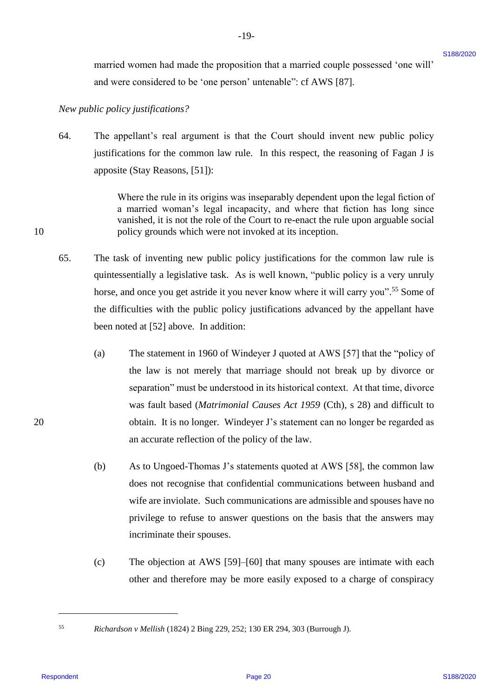married women had made the proposition that a married couple possessed 'one will' married women had made the proposition that <sup>a</sup> married couple possessed 'one will' and were considered to be 'one person' untenable": cf AWS [87]. and were considered to be 'one person' untenable": cf AWS [87].

*New public policy justifications?* New public policy justifications?

64. The appellant's real argument is that the Court should invent new public policy The appellant's real argument is that the Court should invent new public policy justifications for the common law rule. In this respect, the reasoning of Fagan J is justifications for the common law rule. In this respect, the reasoning of Fagan <sup>J</sup> is apposite (Stay Reasons, [51]): apposite (Stay Reasons, [51]): 64.

-19- -19-

Where the rule in its origins was inseparably dependent upon the legal fiction of Where the rule in its origins was inseparably dependent upon the legal fiction of a married woman's legal incapacity, and where that fiction has long since <sup>a</sup> married woman's legal incapacity, and where that fiction has long since vanished, it is not the role of the Court to re-enact the rule upon arguable social vanished, it is not the role of the Court to re-enact the rule upon arguable social 10 policy grounds which were not invoked at its inception. policy grounds which were not invoked at its inception.

- 65. The task of inventing new public policy justifications for the common law rule is The task of inventing new public policy justifications for the common law rule is quintessentially a legislative task. As is well known, "public policy is a very unruly quintessentially <sup>a</sup> legislative task. As is well known, "public policy is a very unruly horse, and once you get astride it you never know where it will carry you".<sup>55</sup> Some of the difficulties with the public policy justifications advanced by the appellant have the difficulties with the public policy justifications advanced by the appellant have been noted at [52] above. In addition: been noted at [52] above. In addition: 65.
- (a) The statement in 1960 of Windeyer J quoted at AWS [57] that the "policy of The statement in 1960 of Windeyer <sup>J</sup> quoted at AWS [57] that the "policy of the law is not merely that marriage should not break up by divorce or the law is not merely that marriage should not break up by divorce or separation" must be understood in its historical context. At that time, divorce separation" must be understood in its historical context. At that time, divorce was fault based (*Matrimonial Causes Act 1959* (Cth), s 28) and difficult to was fault based (Matrimonial Causes Act 1959 (Cth), <sup>s</sup> 28) and difficult to 20 obtain. It is no longer. Windeyer J's statement can no longer be regarded as obtain. It is no longer. Windeyer J's statement can no longer be regarded as an accurate reflection of the policy of the law. an accurate reflection of the policy of the law. manical woman had made the proposition that a manical occupy possessed 'one will'<br>
State and were considered to be 'one person' unimated  $\epsilon^2$  of ANS [87].<br>
Also, paddic padaging integrals the the "one person" unimated (a)
	- (b) As to Ungoed-Thomas J's statements quoted at AWS [58], the common law does not recognise that confidential communications between husband and does not recognise that confidential communications between husband and wife are inviolate. Such communications are admissible and spouses have no wife are inviolate. Such communications are admissible and spouses have no privilege to refuse to answer questions on the basis that the answers may privilege to refuse to answer questions on the basis that the answers may incriminate their spouses. incriminate their spouses. (b)
	- (c) The objection at AWS [59]–[60] that many spouses are intimate with each The objection at AWS [59]-[60] that many spouses are intimate with each other and therefore may be more easily exposed to a charge of conspiracy (c)

55

<sup>55</sup> *Richardson v Mellish* (1824) 2 Bing 229, 252; 130 ER 294, 303 (Burrough J). Richardson v Mellish (1824) 2 Bing 229, 252; 130 ER 294, 303 (Burrough J).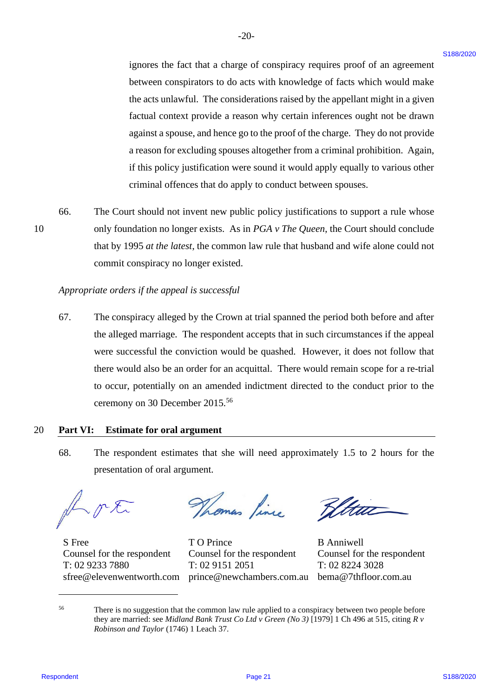ignores the fact that a charge of conspiracy requires proof of an agreement ignores the fact that <sup>a</sup> charge of conspiracy requires proof of an agreement between conspirators to do acts with knowledge of facts which would make between conspirators to do acts with knowledge of facts which would make the acts unlawful. The considerations raised by the appellant might in a given the acts unlawful. The considerations raised by the appellant might in <sup>a</sup> given factual context provide a reason why certain inferences ought not be drawn factual context provide <sup>a</sup> reason why certain inferences ought not be drawn against a spouse, and hence go to the proof of the charge. They do not provide against a spouse, and hence go to the proof of the charge. They do not provide a reason for excluding spouses altogether from a criminal prohibition. Again, <sup>a</sup> reason for excluding spouses altogether from <sup>a</sup> criminal prohibition. Again, if this policy justification were sound it would apply equally to various other ifthis policy justification were sound it would apply equally to various other criminal offences that do apply to conduct between spouses. criminal offences that do apply to conduct between spouses. ignones the fact that a charge of some<br>juristy exposition to an approximate between constrainting to the acts via the transformation<br>of the acts underted. The considerations mixely be appelliant might in given<br>the acts un

66. The Court should not invent new public policy justifications to support a rule whose 66. The Court should not invent new public policy justifications to support a rule whose 10 only foundation no longer exists. As in *PGA v The Queen*, the Court should conclude that by 1995 *at the latest*, the common law rule that husband and wife alone could not that by 1995 at the latest, the common law rule that husband and wife alone could not commit conspiracy no longer existed. commit conspiracy no longer existed.

-20- -20-

# *Appropriate orders if the appeal is successful* Appropriate orders ifthe appeal is successful

67. The conspiracy alleged by the Crown at trial spanned the period both before and after 67. The conspiracy alleged by the Crown at trial spanned the period both before and after the alleged marriage. The respondent accepts that in such circumstances if the appeal were successful the conviction would be quashed. However, it does not follow that were successful the conviction would be quashed. However, it does not follow that there would also be an order for an acquittal. There would remain scope for a re-trial there would also be an order for an acquittal. There would remain scope fora re-trial to occur, potentially on an amended indictment directed to the conduct prior to the to occur, potentially on an amended indictment directed to the conduct prior to the ceremony on 30 December 2015.<sup>56</sup> ceremony on 30 December 2015.°°

#### 20 **Part VI: Estimate for oral argument** 20 Part VI: Estimate for oral argument

68. The respondent estimates that she will need approximately 1.5 to 2 hours for the 68. The respondent estimates that she will need approximately 1.5 to 2 hours for the presentation of oral argument. presentation of oral argument.

F.K. Thomas Pince Bilta

S Free Counsel for the respondent sfree@elevenwentworth.com sfree@elevenwentworth.com prince@newchambers.com.au bema@7thfloor.com.au

T: 02 8224 3028

T: 02 9233 7880 T: 02 9233 7880 T: 02 9151 2051 T: 02 8224 3028 T O Prince Counsel for the respondent T: 02 9151 2051 S Free T O Prince B Anniwell Counsel for the respondent Counsel for the respondent Counsel for the respondent Counsel for the respondent

<sup>&</sup>lt;sup>56</sup> There is no suggestion that the common law rule applied to a conspiracy between two people before they are married: see *Midland Bank Trust Co Ltd v Green (No 3)* [1979] 1 Ch 496 at 515, citing *R v*  they are married: see Midland Bank Trust Co Ltd v Green (No 3) [1979] 1 Ch 496at 515, citing R v Robinson and Taylor (1746) 1 Leach 37.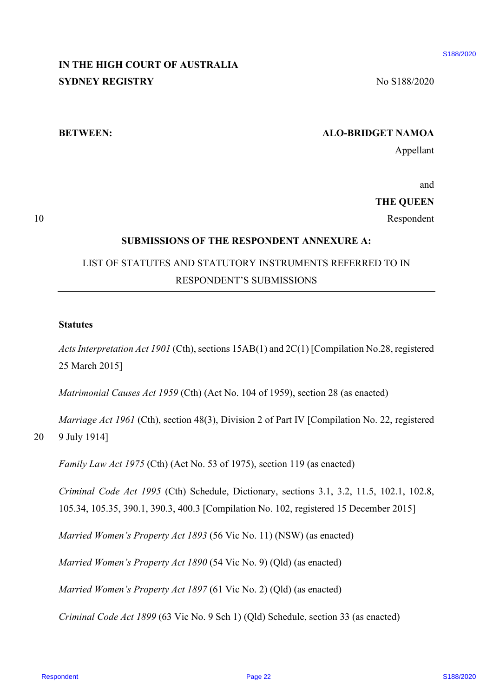# **IN THE HIGH COURT OF AUSTRALIA**  IN THE HIGH COURT OF AUSTRALIA **SYDNEY REGISTRY** No S188/2020

#### **BETWEEN: ALO-BRIDGET NAMOA** BETWEEN: ALO-BRIDGET NAMOA

Appellant Appellant

and and

**THE QUEEN** THE QUEEN

10 Respondent Respondent

#### **SUBMISSIONS OF THE RESPONDENT ANNEXURE A:** SUBMISSIONS OF THE RESPONDENT ANNEXURE A:

# LIST OF STATUTES AND STATUTORY INSTRUMENTS REFERRED TO IN LIST OF STATUTES AND STATUTORY INSTRUMENTS REFERRED TO IN RESPONDENT'S SUBMISSIONS RESPONDENT'S SUBMISSIONS

#### **Statutes** Statutes

10

*Acts Interpretation Act 1901* (Cth), sections 15AB(1) and 2C(1) [Compilation No.28, registered Acts Interpretation Act 1901 (Cth), sections 15AB(1) and 2C(1) [Compilation No.28, registered 25 March 2015] 25 March 2015] **IN THE HIGH COURT OF AUSTRALIA**<br>
SYDNAN REGISTRY<br>
SUBMINISHONS OF THE RESPONDENT ANNEX LE A:<br>  $R_{\text{eff}}$  STENCEEN<br>
SUBMINISHONS OF THE RESPONDENT ANNEX LE A:<br>
LEST OF STATUTES AND STATUTORY INSTRUMENTS REFEREED TO IN<br>
RES

*Matrimonial Causes Act 1959* (Cth) (Act No. 104 of 1959), section 28 (as enacted) Matrimonial Causes Act 1959 (Cth) (Act No. 104 of 1959), section 28 (as enacted)

*Marriage Act 1961* (Cth), section 48(3), Division 2 of Part IV [Compilation No. 22, registered Marriage Act 1961 (Cth), section 48(3), Division 2 of Part IV [Compilation No. 22, registered

20 9 July 1914] 9 July 1914] 20

*Family Law Act 1975* (Cth) (Act No. 53 of 1975), section 119 (as enacted) Family Law Act 1975 (Cth) (Act No. <sup>53</sup> of 1975), section 119 (as enacted)

*Criminal Code Act 1995* (Cth) Schedule, Dictionary, sections 3.1, 3.2, 11.5, 102.1, 102.8, Criminal Code Act 1995 (Cth) Schedule, Dictionary, sections 3.1, 3.2, 11.5, 102.1, 102.8, 105.34, 105.35, 390.1, 390.3, 400.3 [Compilation No. 102, registered 15 December 2015] 105.34, 105.35, 390.1, 390.3, 400.3 [Compilation No. 102, registered 15 December 2015]

*Married Women's Property Act 1893* (56 Vic No. 11) (NSW) (as enacted) Married Women's Property Act 1893 (56 Vic No. 11) (NSW) (as enacted)

*Married Women's Property Act 1890* (54 Vic No. 9) (Qld) (as enacted) Married Women's Property Act 1890 (54 Vic No. 9) (Qld) (as enacted)

*Married Women's Property Act 1897* (61 Vic No. 2) (Qld) (as enacted) Married Women's Property Act 1897 (61 Vic No. 2) (Qld) (as enacted)

*Criminal Code Act 1899* (63 Vic No. 9 Sch 1) (Qld) Schedule, section 33 (as enacted) Criminal Code Act 1899 (63 Vic No. 9 Sch 1) (Qld) Schedule, section 33 (as enacted)